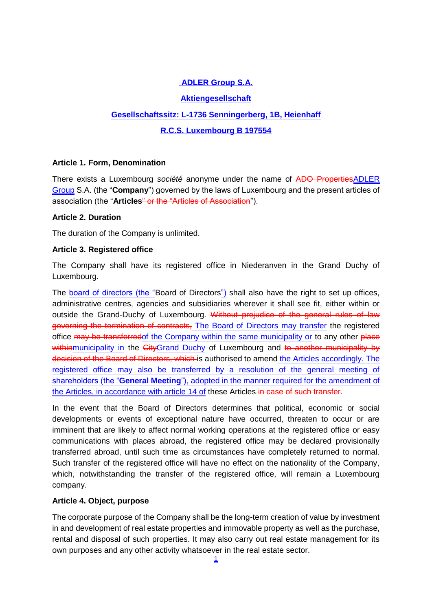# **ADLER Group S.A.**

### **Aktiengesellschaft**

# **Gesellschaftssitz: L-1736 Senningerberg, 1B, Heienhaff**

### **R.C.S. Luxembourg B 197554**

### **Article 1. Form, Denomination**

There exists a Luxembourg *société* anonyme under the name of ADO PropertiesADLER Group S.A. (the "**Company**") governed by the laws of Luxembourg and the present articles of association (the "**Articles**" or the "Articles of Association").

### **Article 2. Duration**

The duration of the Company is unlimited.

### **Article 3. Registered office**

The Company shall have its registered office in Niederanven in the Grand Duchy of Luxembourg.

The board of directors (the "Board of Directors") shall also have the right to set up offices, administrative centres, agencies and subsidiaries wherever it shall see fit, either within or outside the Grand-Duchy of Luxembourg. Without prejudice of the general rules of law governing the termination of contracts, The Board of Directors may transfer the registered office may be transferredof the Company within the same municipality or to any other place withinmunicipality in the CityGrand Duchy of Luxembourg and to another municipality by decision of the Board of Directors, which is authorised to amend the Articles accordingly. The registered office may also be transferred by a resolution of the general meeting of shareholders (the "**General Meeting**"), adopted in the manner required for the amendment of the Articles, in accordance with article 14 of these Articles in case of such transfer.

In the event that the Board of Directors determines that political, economic or social developments or events of exceptional nature have occurred, threaten to occur or are imminent that are likely to affect normal working operations at the registered office or easy communications with places abroad, the registered office may be declared provisionally transferred abroad, until such time as circumstances have completely returned to normal. Such transfer of the registered office will have no effect on the nationality of the Company, which, notwithstanding the transfer of the registered office, will remain a Luxembourg company.

### **Article 4. Object, purpose**

The corporate purpose of the Company shall be the long-term creation of value by investment in and development of real estate properties and immovable property as well as the purchase, rental and disposal of such properties. It may also carry out real estate management for its own purposes and any other activity whatsoever in the real estate sector.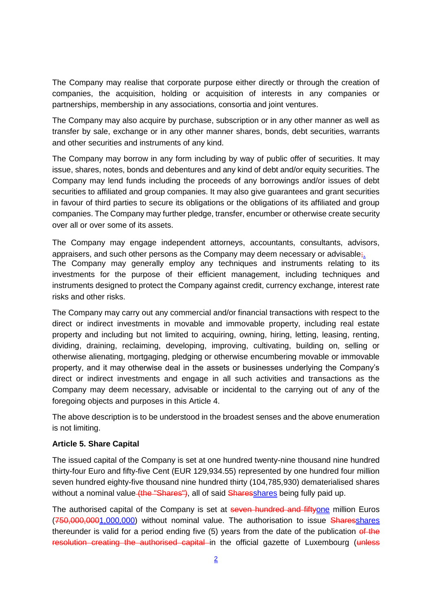The Company may realise that corporate purpose either directly or through the creation of companies, the acquisition, holding or acquisition of interests in any companies or partnerships, membership in any associations, consortia and joint ventures.

The Company may also acquire by purchase, subscription or in any other manner as well as transfer by sale, exchange or in any other manner shares, bonds, debt securities, warrants and other securities and instruments of any kind.

The Company may borrow in any form including by way of public offer of securities. It may issue, shares, notes, bonds and debentures and any kind of debt and/or equity securities. The Company may lend funds including the proceeds of any borrowings and/or issues of debt securities to affiliated and group companies. It may also give guarantees and grant securities in favour of third parties to secure its obligations or the obligations of its affiliated and group companies. The Company may further pledge, transfer, encumber or otherwise create security over all or over some of its assets.

The Company may engage independent attorneys, accountants, consultants, advisors, appraisers, and such other persons as the Company may deem necessary or advisable;. The Company may generally employ any techniques and instruments relating to its investments for the purpose of their efficient management, including techniques and instruments designed to protect the Company against credit, currency exchange, interest rate risks and other risks.

The Company may carry out any commercial and/or financial transactions with respect to the direct or indirect investments in movable and immovable property, including real estate property and including but not limited to acquiring, owning, hiring, letting, leasing, renting, dividing, draining, reclaiming, developing, improving, cultivating, building on, selling or otherwise alienating, mortgaging, pledging or otherwise encumbering movable or immovable property, and it may otherwise deal in the assets or businesses underlying the Company's direct or indirect investments and engage in all such activities and transactions as the Company may deem necessary, advisable or incidental to the carrying out of any of the foregoing objects and purposes in this Article 4.

The above description is to be understood in the broadest senses and the above enumeration is not limiting.

### **Article 5. Share Capital**

The issued capital of the Company is set at one hundred twenty-nine thousand nine hundred thirty-four Euro and fifty-five Cent (EUR 129,934.55) represented by one hundred four million seven hundred eighty-five thousand nine hundred thirty (104,785,930) dematerialised shares without a nominal value (the "Shares"), all of said Sharesshares being fully paid up.

The authorised capital of the Company is set at seven hundred and fiftyone million Euros (750,000,0001,000,000) without nominal value. The authorisation to issue Sharesshares thereunder is valid for a period ending five  $(5)$  years from the date of the publication of the resolution creating the authorised capital in the official gazette of Luxembourg (unless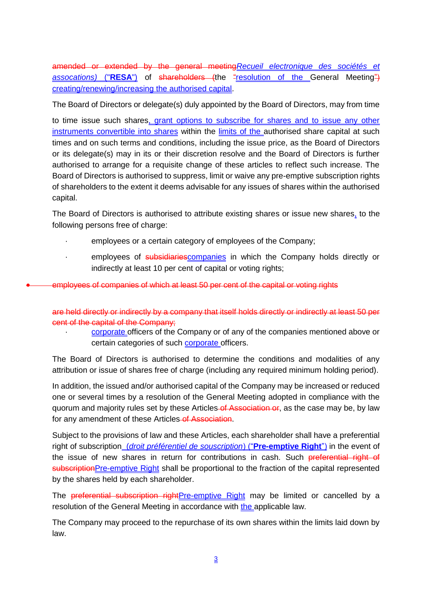amended or extended by the general meeting*Recueil electronique des sociétés et*  assocations) ("**RESA**") of shareholders (the "resolution of the General Meeting") creating/renewing/increasing the authorised capital.

The Board of Directors or delegate(s) duly appointed by the Board of Directors, may from time

to time issue such shares, grant options to subscribe for shares and to issue any other instruments convertible into shares within the limits of the authorised share capital at such times and on such terms and conditions, including the issue price, as the Board of Directors or its delegate(s) may in its or their discretion resolve and the Board of Directors is further authorised to arrange for a requisite change of these articles to reflect such increase. The Board of Directors is authorised to suppress, limit or waive any pre-emptive subscription rights of shareholders to the extent it deems advisable for any issues of shares within the authorised capital.

The Board of Directors is authorised to attribute existing shares or issue new shares, to the following persons free of charge:

- employees or a certain category of employees of the Company;
- · employees of subsidiaries companies in which the Company holds directly or indirectly at least 10 per cent of capital or voting rights;

employees of companies of which at least 50 per cent of the capital or voting rights

are held directly or indirectly by a company that itself holds directly or indirectly at least 50 per cent of the capital of the Company;

corporate officers of the Company or of any of the companies mentioned above or certain categories of such corporate officers.

The Board of Directors is authorised to determine the conditions and modalities of any attribution or issue of shares free of charge (including any required minimum holding period).

In addition, the issued and/or authorised capital of the Company may be increased or reduced one or several times by a resolution of the General Meeting adopted in compliance with the quorum and majority rules set by these Articles of Association or, as the case may be, by law for any amendment of these Articles of Association.

Subject to the provisions of law and these Articles, each shareholder shall have a preferential right of subscription (*droit préférentiel de souscription*) ("**Pre-emptive Right**") in the event of the issue of new shares in return for contributions in cash. Such preferential right of subscriptionPre-emptive Right shall be proportional to the fraction of the capital represented by the shares held by each shareholder.

The preferential subscription rightPre-emptive Right may be limited or cancelled by a resolution of the General Meeting in accordance with the applicable law.

The Company may proceed to the repurchase of its own shares within the limits laid down by law.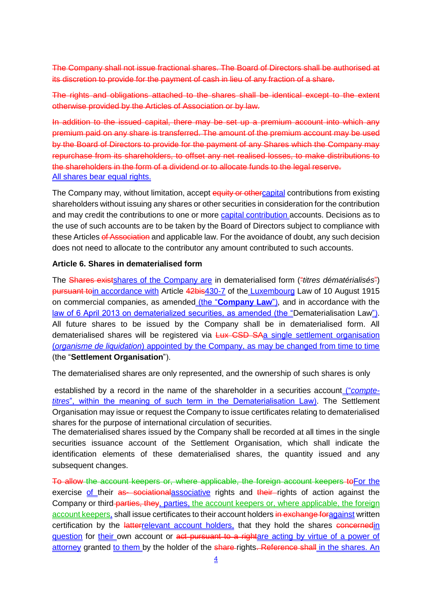The Company shall not issue fractional shares. The Board of Directors shall be authorised at its discretion to provide for the payment of cash in lieu of any fraction of a share.

The rights and obligations attached to the shares shall be identical except to the extent otherwise provided by the Articles of Association or by law.

In addition to the issued capital, there may be set up a premium account into which any premium paid on any share is transferred. The amount of the premium account may be used by the Board of Directors to provide for the payment of any Shares which the Company may repurchase from its shareholders, to offset any net realised losses, to make distributions to the shareholders in the form of a dividend or to allocate funds to the legal reserve. All shares bear equal rights.

The Company may, without limitation, accept equity or othercapital contributions from existing shareholders without issuing any shares or other securities in consideration for the contribution and may credit the contributions to one or more capital contribution accounts. Decisions as to the use of such accounts are to be taken by the Board of Directors subject to compliance with these Articles of Association and applicable law. For the avoidance of doubt, any such decision does not need to allocate to the contributor any amount contributed to such accounts.

### **Article 6. Shares in dematerialised form**

The Shares existshares of the Company are in dematerialised form ("*titres dématérialisés*") pursuant toin accordance with Article 42bis430-7 of the Luxembourg Law of 10 August 1915 on commercial companies, as amended (the "**Company Law**"), and in accordance with the law of 6 April 2013 on dematerialized securities, as amended (the "Dematerialisation Law"). All future shares to be issued by the Company shall be in dematerialised form. All dematerialised shares will be registered via Lux CSD SAa single settlement organisation (*organisme de liquidation*) appointed by the Company, as may be changed from time to time (the "**Settlement Organisation**").

The dematerialised shares are only represented, and the ownership of such shares is only

established by a record in the name of the shareholder in a securities account ("*comptetitres*", within the meaning of such term in the Dematerialisation Law). The Settlement Organisation may issue or request the Company to issue certificates relating to dematerialised shares for the purpose of international circulation of securities.

The dematerialised shares issued by the Company shall be recorded at all times in the single securities issuance account of the Settlement Organisation, which shall indicate the identification elements of these dematerialised shares, the quantity issued and any subsequent changes.

To allow the account keepers or, where applicable, the foreign account keepers toFor the exercise of their as sociational associative rights and their rights of action against the Company or third-parties, they, parties, the account keepers or, where applicable, the foreign account keepers, shall issue certificates to their account holders in exchange for against written certification by the latterrelevant account holders, that they hold the shares concernedin question for their own account or act pursuant to a rightare acting by virtue of a power of attorney granted to them by the holder of the share-rights. Reference shall in the shares. An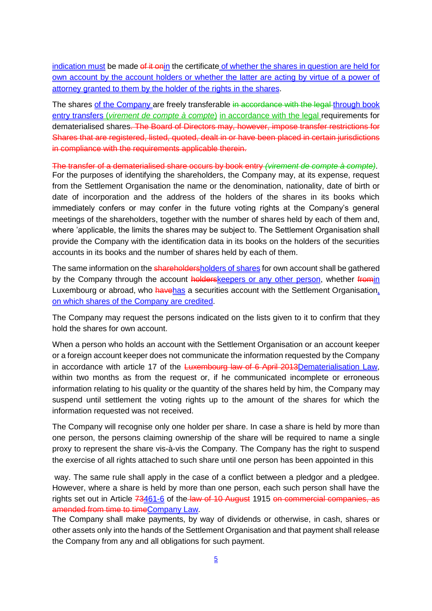indication must be made of it onin the certificate of whether the shares in question are held for own account by the account holders or whether the latter are acting by virtue of a power of attorney granted to them by the holder of the rights in the shares.

The shares of the Company are freely transferable in accordance with the legal through book entry transfers (*virement de compte à compte*) in accordance with the legal requirements for dematerialised shares. The Board of Directors may, however, impose transfer restrictions for Shares that are registered, listed, quoted, dealt in or have been placed in certain jurisdictions in compliance with the requirements applicable therein.

The transfer of a dematerialised share occurs by book entry *(virement de compte à compte)*. For the purposes of identifying the shareholders, the Company may, at its expense, request from the Settlement Organisation the name or the denomination, nationality, date of birth or date of incorporation and the address of the holders of the shares in its books which immediately confers or may confer in the future voting rights at the Company's general meetings of the shareholders, together with the number of shares held by each of them and, where 'applicable, the limits the shares may be subject to. The Settlement Organisation shall provide the Company with the identification data in its books on the holders of the securities accounts in its books and the number of shares held by each of them.

The same information on the shareholdersholders of shares for own account shall be gathered by the Company through the account holderskeepers or any other person, whether fromin Luxembourg or abroad, who havehas a securities account with the Settlement Organisation, on which shares of the Company are credited.

The Company may request the persons indicated on the lists given to it to confirm that they hold the shares for own account.

When a person who holds an account with the Settlement Organisation or an account keeper or a foreign account keeper does not communicate the information requested by the Company in accordance with article 17 of the Luxembourg law of 6 April 2013Dematerialisation Law, within two months as from the request or, if he communicated incomplete or erroneous information relating to his quality or the quantity of the shares held by him, the Company may suspend until settlement the voting rights up to the amount of the shares for which the information requested was not received.

The Company will recognise only one holder per share. In case a share is held by more than one person, the persons claiming ownership of the share will be required to name a single proxy to represent the share vis-à-vis the Company. The Company has the right to suspend the exercise of all rights attached to such share until one person has been appointed in this

way. The same rule shall apply in the case of a conflict between a pledgor and a pledgee. However, where a share is held by more than one person, each such person shall have the rights set out in Article 73461-6 of the law of 10 August 1915 on commercial companies, as amended from time to timeCompany Law.

The Company shall make payments, by way of dividends or otherwise, in cash, shares or other assets only into the hands of the Settlement Organisation and that payment shall release the Company from any and all obligations for such payment.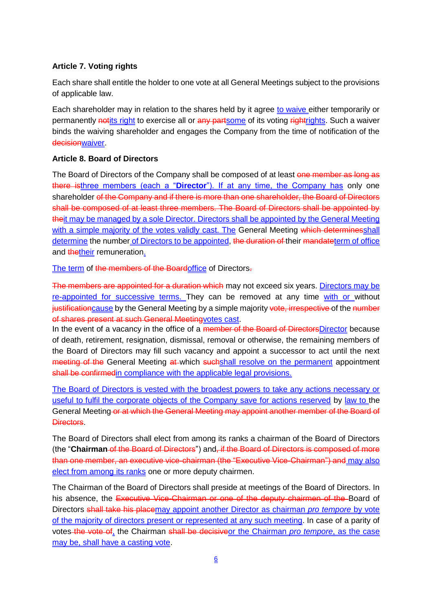# **Article 7. Voting rights**

Each share shall entitle the holder to one vote at all General Meetings subject to the provisions of applicable law.

Each shareholder may in relation to the shares held by it agree to waive either temporarily or permanently notits right to exercise all or any partsome of its voting rightrights. Such a waiver binds the waiving shareholder and engages the Company from the time of notification of the decisionwaiver.

### **Article 8. Board of Directors**

The Board of Directors of the Company shall be composed of at least one member as long as there isthree members (each a "**Director**"). If at any time, the Company has only one shareholder of the Company and if there is more than one shareholder, the Board of Directors shall be composed of at least three members. The Board of Directors shall be appointed by theit may be managed by a sole Director. Directors shall be appointed by the General Meeting with a simple majority of the votes validly cast. The General Meeting which determinesshall determine the number of Directors to be appointed, the duration of their mandateterm of office and thetheir remuneration.

The term of the members of the Boardoffice of Directors-

The members are appointed for a duration which may not exceed six years. Directors may be re-appointed for successive terms. They can be removed at any time with or without justificationcause by the General Meeting by a simple majority vote, irrespective of the number of shares present at such General Meetingvotes cast.

In the event of a vacancy in the office of a member of the Board of DirectorsDirector because of death, retirement, resignation, dismissal, removal or otherwise, the remaining members of the Board of Directors may fill such vacancy and appoint a successor to act until the next meeting of the General Meeting at which suchshall resolve on the permanent appointment shall be confirmed in compliance with the applicable legal provisions.

The Board of Directors is vested with the broadest powers to take any actions necessary or useful to fulfil the corporate objects of the Company save for actions reserved by law to the General Meeting or at which the General Meeting may appoint another member of the Board of Directors.

The Board of Directors shall elect from among its ranks a chairman of the Board of Directors (the "**Chairman** of the Board of Directors") and, if the Board of Directors is composed of more than one member, an executive vice-chairman (the "Executive Vice-Chairman") and may also elect from among its ranks one or more deputy chairmen.

The Chairman of the Board of Directors shall preside at meetings of the Board of Directors. In his absence, the Executive Vice-Chairman or one of the deputy chairmen of the Board of Directors shall take his placemay appoint another Director as chairman *pro tempore* by vote of the majority of directors present or represented at any such meeting. In case of a parity of votes the vote of, the Chairman shall be decisiveor the Chairman *pro tempore*, as the case may be, shall have a casting vote.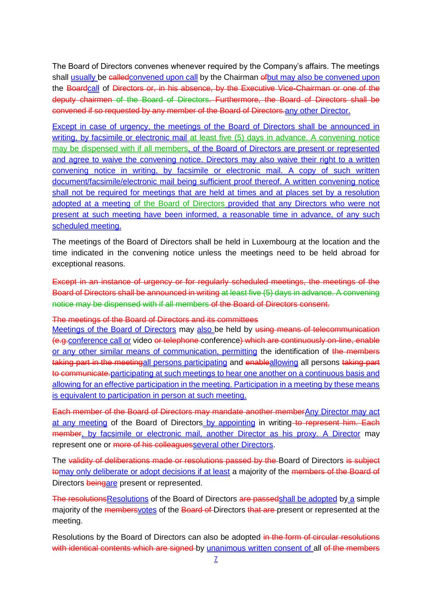The Board of Directors convenes whenever required by the Company's affairs. The meetings shall usually be called convened upon call by the Chairman of but may also be convened upon the Boardcall of Directors or, in his absence, by the Executive Vice-Chairman or one of the deputy chairmen of the Board of Directors. Furthermore, the Board of Directors shall be convened if so requested by any member of the Board of Directors-any other Director.

Except in case of urgency, the meetings of the Board of Directors shall be announced in writing, by facsimile or electronic mail at least five (5) days in advance. A convening notice may be dispensed with if all members, of the Board of Directors are present or represented and agree to waive the convening notice. Directors may also waive their right to a written convening notice in writing, by facsimile or electronic mail. A copy of such written document/facsimile/electronic mail being sufficient proof thereof. A written convening notice shall not be required for meetings that are held at times and at places set by a resolution adopted at a meeting of the Board of Directors provided that any Directors who were not present at such meeting have been informed, a reasonable time in advance, of any such scheduled meeting.

The meetings of the Board of Directors shall be held in Luxembourg at the location and the time indicated in the convening notice unless the meetings need to be held abroad for exceptional reasons.

Except in an instance of urgency or for regularly scheduled meetings, the meetings of the Board of Directors shall be announced in writing at least five (5) days in advance. A convening notice may be dispensed with if all members of the Board of Directors consent.

#### The meetings of the Board of Directors and its committees

Meetings of the Board of Directors may also be held by using means of telecommunication (e.g.conference call or video or telephone conference) which are continuously on-line, enable or any other similar means of communication, permitting the identification of the members taking part in the meetingall persons participating and enableallowing all persons taking part to communicate.participating at such meetings to hear one another on a continuous basis and allowing for an effective participation in the meeting. Participation in a meeting by these means is equivalent to participation in person at such meeting.

Each member of the Board of Directors may mandate another memberAny Director may act at any meeting of the Board of Directors by appointing in writing to represent him. Each member, by facsimile or electronic mail, another Director as his proxy. A Director may represent one or more of his colleaguesseveral other Directors.

The validity of deliberations made or resolutions passed by the Board of Directors is subject tomay only deliberate or adopt decisions if at least a majority of the members of the Board of Directors **beingare** present or represented.

The resolutionsResolutions of the Board of Directors are passed shall be adopted by a simple majority of the **members votes** of the Board of Directors that are present or represented at the meeting.

Resolutions by the Board of Directors can also be adopted in the form of circular resolutions with identical contents which are signed by unanimous written consent of all of the members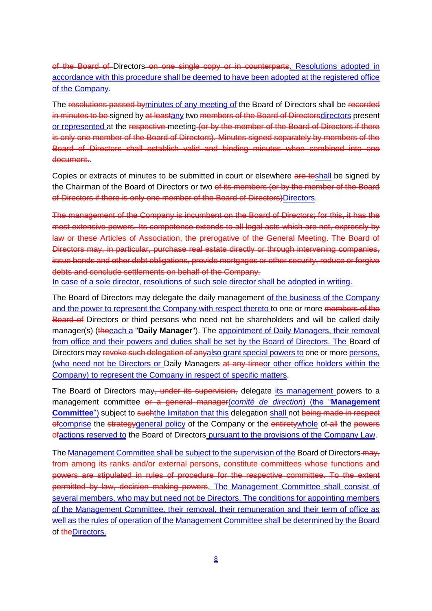of the Board of Directors on one single copy or in counterparts. Resolutions adopted in accordance with this procedure shall be deemed to have been adopted at the registered office of the Company.

The resolutions passed byminutes of any meeting of the Board of Directors shall be recorded in minutes to be signed by at leastany two members of the Board of Directorsdirectors present or represented at the respective meeting (or by the member of the Board of Directors if there is only one member of the Board of Directors). Minutes signed separately by members of the Board of Directors shall establish valid and binding minutes when combined into one document.

Copies or extracts of minutes to be submitted in court or elsewhere are toshall be signed by the Chairman of the Board of Directors or two of its members (or by the member of the Board of Directors if there is only one member of the Board of Directors)Directors.

The management of the Company is incumbent on the Board of Directors; for this, it has the most extensive powers. Its competence extends to all legal acts which are not, expressly by law or these Articles of Association, the prerogative of the General Meeting. The Board of Directors may, in particular, purchase real estate directly or through intervening companies, issue bonds and other debt obligations, provide mortgages or other security, reduce or forgive debts and conclude settlements on behalf of the Company.

In case of a sole director, resolutions of such sole director shall be adopted in writing.

The Board of Directors may delegate the daily management of the business of the Company and the power to represent the Company with respect thereto to one or more members of the Board of Directors or third persons who need not be shareholders and will be called daily manager(s) (theeach a "**Daily Manager**"). The appointment of Daily Managers, their removal from office and their powers and duties shall be set by the Board of Directors. The Board of Directors may revoke such delegation of anyalso grant special powers to one or more persons, (who need not be Directors or Daily Managers at any timeor other office holders within the Company) to represent the Company in respect of specific matters.

The Board of Directors may, under its supervision, delegate its management powers to a management committee or a general manager(*comité de direction*) (the "**Management Committee**") subject to such the limitation that this delegation shall not being made in respect ofcomprise the strategygeneral policy of the Company or the entiretywhole of all the powers ofactions reserved to the Board of Directors pursuant to the provisions of the Company Law.

The Management Committee shall be subject to the supervision of the Board of Directors-may, from among its ranks and/or external persons, constitute committees whose functions and powers are stipulated in rules of procedure for the respective committee. To the extent permitted by law, decision making powers. The Management Committee shall consist of several members, who may but need not be Directors. The conditions for appointing members of the Management Committee, their removal, their remuneration and their term of office as well as the rules of operation of the Management Committee shall be determined by the Board of the Directors.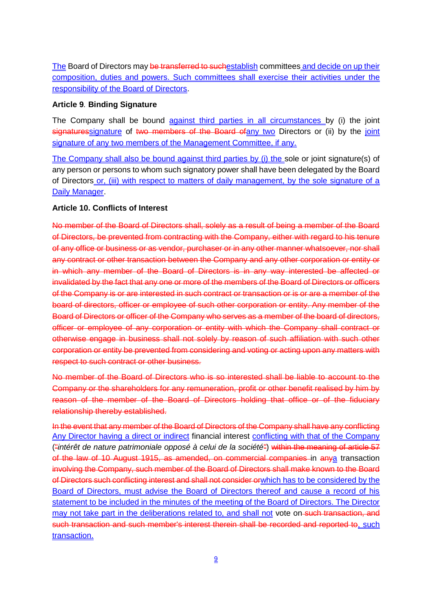The Board of Directors may be transferred to suchestablish committees and decide on up their composition, duties and powers. Such committees shall exercise their activities under the responsibility of the Board of Directors.

#### **Article 9***.* **Binding Signature**

The Company shall be bound against third parties in all circumstances by (i) the joint signaturessignature of two members of the Board of any two Directors or (ii) by the joint signature of any two members of the Management Committee, if any.

The Company shall also be bound against third parties by (i) the sole or joint signature(s) of any person or persons to whom such signatory power shall have been delegated by the Board of Directors or, (iii) with respect to matters of daily management, by the sole signature of a Daily Manager.

### **Article 10. Conflicts of Interest**

No member of the Board of Directors shall, solely as a result of being a member of the Board of Directors, be prevented from contracting with the Company, either with regard to his tenure of any office or business or as vendor, purchaser or in any other manner whatsoever, nor shall any contract or other transaction between the Company and any other corporation or entity or in which any member of the Board of Directors is in any way interested be affected or invalidated by the fact that any one or more of the members of the Board of Directors or officers of the Company is or are interested in such contract or transaction or is or are a member of the board of directors, officer or employee of such other corporation or entity. Any member of the Board of Directors or officer of the Company who serves as a member of the board of directors, officer or employee of any corporation or entity with which the Company shall contract or otherwise engage in business shall not solely by reason of such affiliation with such other corporation or entity be prevented from considering and voting or acting upon any matters with respect to such contract or other business.

No member of the Board of Directors who is so interested shall be liable to account to the Company or the shareholders for any remuneration, profit or other benefit realised by him by reason of the member of the Board of Directors holding that office or of the fiduciary relationship thereby established.

In the event that any member of the Board of Directors of the Company shall have any conflicting Any Director having a direct or indirect financial interest conflicting with that of the Company ("*intérêt de nature patrimoniale opposé à celui de la société*") within the meaning of article 57 of the law of 10 August 1915, as amended, on commercial companies in anya transaction involving the Company, such member of the Board of Directors shall make known to the Board of Directors such conflicting interest and shall not consider orwhich has to be considered by the Board of Directors, must advise the Board of Directors thereof and cause a record of his statement to be included in the minutes of the meeting of the Board of Directors. The Director may not take part in the deliberations related to, and shall not vote on-such transaction, and such transaction and such member's interest therein shall be recorded and reported to, such transaction.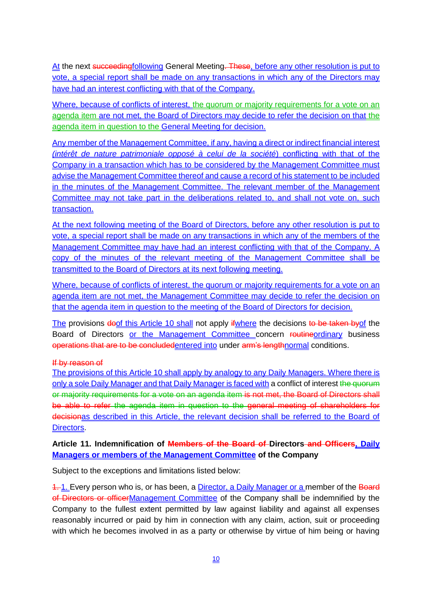At the next succeedingfollowing General Meeting. These, before any other resolution is put to vote, a special report shall be made on any transactions in which any of the Directors may have had an interest conflicting with that of the Company.

Where, because of conflicts of interest, the quorum or majority requirements for a vote on an agenda item are not met, the Board of Directors may decide to refer the decision on that the agenda item in question to the General Meeting for decision.

Any member of the Management Committee, if any, having a direct or indirect financial interest *(intérêt de nature patrimoniale opposé à celui de la société*) conflicting with that of the Company in a transaction which has to be considered by the Management Committee must advise the Management Committee thereof and cause a record of his statement to be included in the minutes of the Management Committee. The relevant member of the Management Committee may not take part in the deliberations related to, and shall not vote on, such transaction.

At the next following meeting of the Board of Directors, before any other resolution is put to vote, a special report shall be made on any transactions in which any of the members of the Management Committee may have had an interest conflicting with that of the Company. A copy of the minutes of the relevant meeting of the Management Committee shall be transmitted to the Board of Directors at its next following meeting.

Where, because of conflicts of interest, the quorum or majority requirements for a vote on an agenda item are not met, the Management Committee may decide to refer the decision on that the agenda item in question to the meeting of the Board of Directors for decision.

The provisions doof this Article 10 shall not apply if where the decisions to be taken by of the Board of Directors or the Management Committee concern routineordinary business operations that are to be concludedentered into under arm's lengthnormal conditions.

#### If by reason of

The provisions of this Article 10 shall apply by analogy to any Daily Managers. Where there is only a sole Daily Manager and that Daily Manager is faced with a conflict of interest the quorum or majority requirements for a vote on an agenda item is not met, the Board of Directors shall be able to refer the agenda item in question to the general meeting of shareholders for decisionas described in this Article, the relevant decision shall be referred to the Board of Directors.

## **Article 11. Indemnification of Members of the Board of Directors and Officers, Daily Managers or members of the Management Committee of the Company**

Subject to the exceptions and limitations listed below:

1. Every person who is, or has been, a Director, a Daily Manager or a member of the Board of Directors or officerManagement Committee of the Company shall be indemnified by the Company to the fullest extent permitted by law against liability and against all expenses reasonably incurred or paid by him in connection with any claim, action, suit or proceeding with which he becomes involved in as a party or otherwise by virtue of him being or having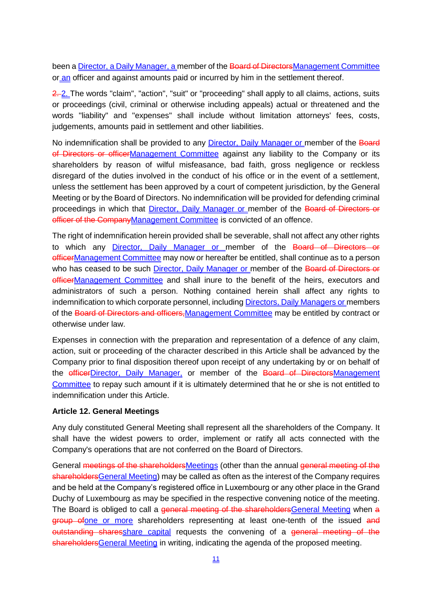been a **Director, a Daily Manager, a** member of the Board of Directors Management Committee or an officer and against amounts paid or incurred by him in the settlement thereof.

2. 2. The words "claim", "action", "suit" or "proceeding" shall apply to all claims, actions, suits or proceedings (civil, criminal or otherwise including appeals) actual or threatened and the words "liability" and "expenses" shall include without limitation attorneys' fees, costs, judgements, amounts paid in settlement and other liabilities.

No indemnification shall be provided to any Director. Daily Manager or member of the Board of Directors or officerManagement Committee against any liability to the Company or its shareholders by reason of wilful misfeasance, bad faith, gross negligence or reckless disregard of the duties involved in the conduct of his office or in the event of a settlement, unless the settlement has been approved by a court of competent jurisdiction, by the General Meeting or by the Board of Directors. No indemnification will be provided for defending criminal proceedings in which that Director, Daily Manager or member of the Board of Directors or officer of the CompanyManagement Committee is convicted of an offence.

The right of indemnification herein provided shall be severable, shall not affect any other rights to which any Director, Daily Manager or member of the Board of Directors or officerManagement Committee may now or hereafter be entitled, shall continue as to a person who has ceased to be such **Director, Daily Manager or member of the Board of Directors or** officerManagement Committee and shall inure to the benefit of the heirs, executors and administrators of such a person. Nothing contained herein shall affect any rights to indemnification to which corporate personnel, including **Directors, Daily Managers or members** of the Board of Directors and officers, Management Committee may be entitled by contract or otherwise under law.

Expenses in connection with the preparation and representation of a defence of any claim, action, suit or proceeding of the character described in this Article shall be advanced by the Company prior to final disposition thereof upon receipt of any undertaking by or on behalf of the *efficerDirector*, Daily Manager, or member of the Board of DirectorsManagement Committee to repay such amount if it is ultimately determined that he or she is not entitled to indemnification under this Article.

#### **Article 12. General Meetings**

Any duly constituted General Meeting shall represent all the shareholders of the Company. It shall have the widest powers to order, implement or ratify all acts connected with the Company's operations that are not conferred on the Board of Directors.

General meetings of the shareholdersMeetings (other than the annual general meeting of the shareholdersGeneral Meeting) may be called as often as the interest of the Company requires and be held at the Company's registered office in Luxembourg or any other place in the Grand Duchy of Luxembourg as may be specified in the respective convening notice of the meeting. The Board is obliged to call a general meeting of the shareholdersGeneral Meeting when a group ofone or more shareholders representing at least one-tenth of the issued and outstanding sharesshare capital requests the convening of a general meeting of the shareholdersGeneral Meeting in writing, indicating the agenda of the proposed meeting.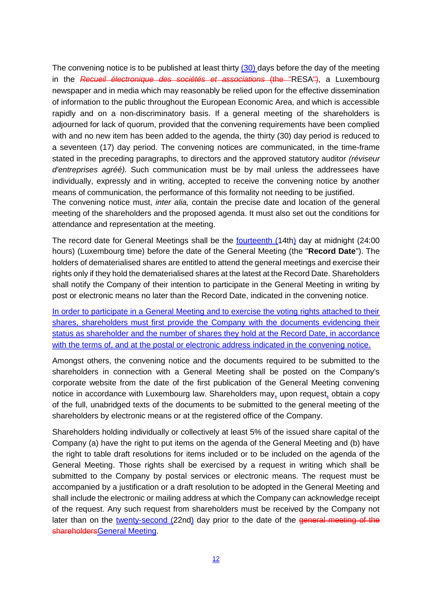The convening notice is to be published at least thirty  $(30)$  days before the day of the meeting in the *Recueil électronique des sociétés et associations* (the "RESA"), a Luxembourg newspaper and in media which may reasonably be relied upon for the effective dissemination of information to the public throughout the European Economic Area, and which is accessible rapidly and on a non-discriminatory basis. If a general meeting of the shareholders is adjourned for lack of quorum, provided that the convening requirements have been complied with and no new item has been added to the agenda, the thirty (30) day period is reduced to a seventeen (17) day period. The convening notices are communicated, in the time-frame stated in the preceding paragraphs, to directors and the approved statutory auditor *(réviseur d'entreprises agréé).* Such communication must be by mail unless the addressees have individually, expressly and in writing, accepted to receive the convening notice by another means of communication, the performance of this formality not needing to be justified.

The convening notice must, *inter alia,* contain the precise date and location of the general meeting of the shareholders and the proposed agenda. It must also set out the conditions for attendance and representation at the meeting.

The record date for General Meetings shall be the <u>fourteenth (14th)</u> day at midnight (24:00 hours) (Luxembourg time) before the date of the General Meeting (the "**Record Date**"). The holders of dematerialised shares are entitled to attend the general meetings and exercise their rights only if they hold the dematerialised shares at the latest at the Record Date. Shareholders shall notify the Company of their intention to participate in the General Meeting in writing by post or electronic means no later than the Record Date, indicated in the convening notice.

In order to participate in a General Meeting and to exercise the voting rights attached to their shares, shareholders must first provide the Company with the documents evidencing their status as shareholder and the number of shares they hold at the Record Date, in accordance with the terms of, and at the postal or electronic address indicated in the convening notice.

Amongst others, the convening notice and the documents required to be submitted to the shareholders in connection with a General Meeting shall be posted on the Company's corporate website from the date of the first publication of the General Meeting convening notice in accordance with Luxembourg law. Shareholders may, upon request, obtain a copy of the full, unabridged texts of the documents to be submitted to the general meeting of the shareholders by electronic means or at the registered office of the Company.

Shareholders holding individually or collectively at least 5% of the issued share capital of the Company (a) have the right to put items on the agenda of the General Meeting and (b) have the right to table draft resolutions for items included or to be included on the agenda of the General Meeting. Those rights shall be exercised by a request in writing which shall be submitted to the Company by postal services or electronic means. The request must be accompanied by a justification or a draft resolution to be adopted in the General Meeting and shall include the electronic or mailing address at which the Company can acknowledge receipt of the request. Any such request from shareholders must be received by the Company not later than on the twenty-second (22nd) day prior to the date of the general meeting of the shareholdersGeneral Meeting.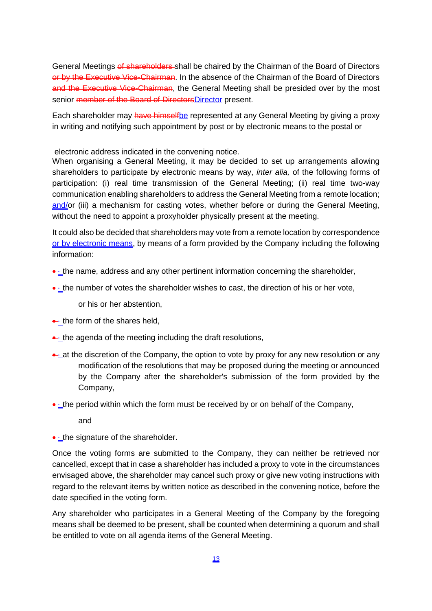General Meetings of shareholders shall be chaired by the Chairman of the Board of Directors or by the Executive Vice-Chairman. In the absence of the Chairman of the Board of Directors and the Executive Vice-Chairman, the General Meeting shall be presided over by the most senior member of the Board of DirectorsDirector present.

Each shareholder may have himselfbe represented at any General Meeting by giving a proxy in writing and notifying such appointment by post or by electronic means to the postal or

electronic address indicated in the convening notice.

When organising a General Meeting, it may be decided to set up arrangements allowing shareholders to participate by electronic means by way, *inter alia,* of the following forms of participation: (i) real time transmission of the General Meeting; (ii) real time two-way communication enabling shareholders to address the General Meeting from a remote location; and/or (iii) a mechanism for casting votes, whether before or during the General Meeting, without the need to appoint a proxyholder physically present at the meeting.

It could also be decided that shareholders may vote from a remote location by correspondence or by electronic means, by means of a form provided by the Company including the following information:

- $\rightarrow$  the name, address and any other pertinent information concerning the shareholder,
- $\rightarrow$  the number of votes the shareholder wishes to cast, the direction of his or her vote,

or his or her abstention,

- $\leftarrow$  the form of the shares held,
- $\leftarrow$  the agenda of the meeting including the draft resolutions,
- $\rightarrow$  at the discretion of the Company, the option to vote by proxy for any new resolution or any modification of the resolutions that may be proposed during the meeting or announced by the Company after the shareholder's submission of the form provided by the Company,
- $\triangle$  the period within which the form must be received by or on behalf of the Company,
	- and

• the signature of the shareholder.

Once the voting forms are submitted to the Company, they can neither be retrieved nor cancelled, except that in case a shareholder has included a proxy to vote in the circumstances envisaged above, the shareholder may cancel such proxy or give new voting instructions with regard to the relevant items by written notice as described in the convening notice, before the date specified in the voting form.

Any shareholder who participates in a General Meeting of the Company by the foregoing means shall be deemed to be present, shall be counted when determining a quorum and shall be entitled to vote on all agenda items of the General Meeting.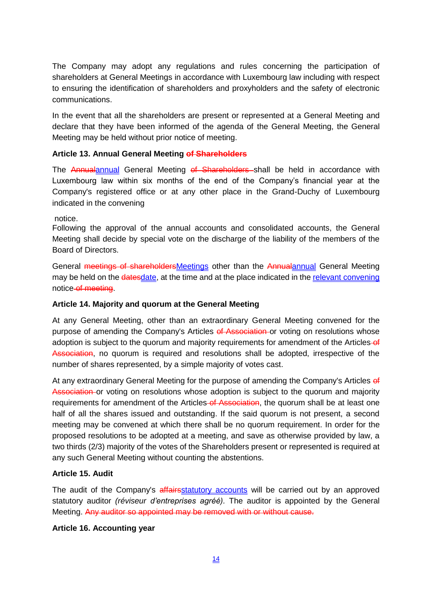The Company may adopt any regulations and rules concerning the participation of shareholders at General Meetings in accordance with Luxembourg law including with respect to ensuring the identification of shareholders and proxyholders and the safety of electronic communications.

In the event that all the shareholders are present or represented at a General Meeting and declare that they have been informed of the agenda of the General Meeting, the General Meeting may be held without prior notice of meeting.

### **Article 13. Annual General Meeting of Shareholders**

The Annualannual General Meeting of Shareholders shall be held in accordance with Luxembourg law within six months of the end of the Company's financial year at the Company's registered office or at any other place in the Grand-Duchy of Luxembourg indicated in the convening

notice.

Following the approval of the annual accounts and consolidated accounts, the General Meeting shall decide by special vote on the discharge of the liability of the members of the Board of Directors.

General meetings of shareholdersMeetings other than the Annualannual General Meeting may be held on the datesdate, at the time and at the place indicated in the relevant convening notice of meeting.

### **Article 14. Majority and quorum at the General Meeting**

At any General Meeting, other than an extraordinary General Meeting convened for the purpose of amending the Company's Articles of Association or voting on resolutions whose adoption is subject to the quorum and majority requirements for amendment of the Articles-of Association, no quorum is required and resolutions shall be adopted, irrespective of the number of shares represented, by a simple majority of votes cast.

At any extraordinary General Meeting for the purpose of amending the Company's Articles of Association or voting on resolutions whose adoption is subject to the quorum and majority requirements for amendment of the Articles of Association, the quorum shall be at least one half of all the shares issued and outstanding. If the said quorum is not present, a second meeting may be convened at which there shall be no quorum requirement. In order for the proposed resolutions to be adopted at a meeting, and save as otherwise provided by law, a two thirds (2/3) majority of the votes of the Shareholders present or represented is required at any such General Meeting without counting the abstentions.

### **Article 15. Audit**

The audit of the Company's affairs statutory accounts will be carried out by an approved statutory auditor *(réviseur d'entreprises agréé).* The auditor is appointed by the General Meeting. Any auditor so appointed may be removed with or without cause.

#### **Article 16. Accounting year**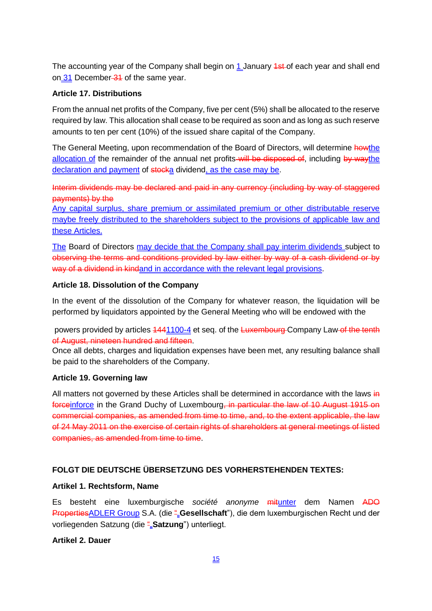The accounting year of the Company shall begin on 1 January 1st of each year and shall end on 31 December 31 of the same year.

### **Article 17. Distributions**

From the annual net profits of the Company, five per cent (5%) shall be allocated to the reserve required by law. This allocation shall cease to be required as soon and as long as such reserve amounts to ten per cent (10%) of the issued share capital of the Company.

The General Meeting, upon recommendation of the Board of Directors, will determine howthe allocation of the remainder of the annual net profits will be disposed of, including by waythe declaration and payment of stocka dividend, as the case may be.

Interim dividends may be declared and paid in any currency (including by way of staggered payments) by the

Any capital surplus, share premium or assimilated premium or other distributable reserve maybe freely distributed to the shareholders subject to the provisions of applicable law and these Articles.

The Board of Directors may decide that the Company shall pay interim dividends subject to observing the terms and conditions provided by law either by way of a cash dividend or by way of a dividend in kindand in accordance with the relevant legal provisions.

## **Article 18. Dissolution of the Company**

In the event of the dissolution of the Company for whatever reason, the liquidation will be performed by liquidators appointed by the General Meeting who will be endowed with the

powers provided by articles  $1441100-4$  et seq. of the Luxembourg Company Law of the tenth of August, nineteen hundred and fifteen.

Once all debts, charges and liquidation expenses have been met, any resulting balance shall be paid to the shareholders of the Company.

### **Article 19. Governing law**

All matters not governed by these Articles shall be determined in accordance with the laws in forceinforce in the Grand Duchy of Luxembourg, in particular the law of 10 August 1915 on commercial companies, as amended from time to time, and, to the extent applicable, the law of 24 May 2011 on the exercise of certain rights of shareholders at general meetings of listed companies, as amended from time to time.

# **FOLGT DIE DEUTSCHE ÜBERSETZUNG DES VORHERSTEHENDEN TEXTES:**

# **Artikel 1. Rechtsform, Name**

Es besteht eine luxemburgische *société anonyme* mitunter dem Namen ADO PropertiesADLER Group S.A. (die ""**Gesellschaft**"), die dem luxemburgischen Recht und der vorliegenden Satzung (die ""Satzung") unterliegt.

### **Artikel 2. Dauer**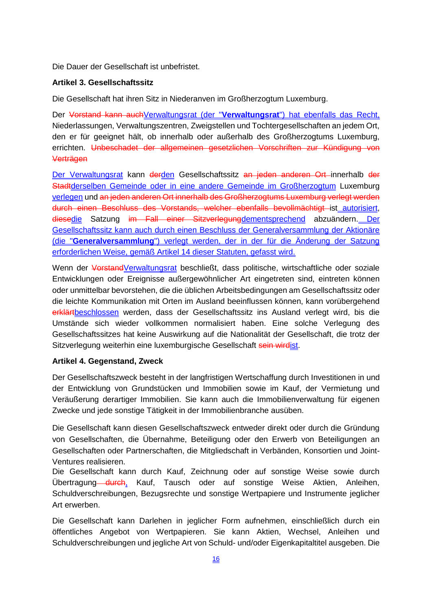Die Dauer der Gesellschaft ist unbefristet.

## **Artikel 3. Gesellschaftssitz**

Die Gesellschaft hat ihren Sitz in Niederanven im Großherzogtum Luxemburg.

Der Vorstand kann auch Verwaltungsrat (der "Verwaltungsrat") hat ebenfalls das Recht, Niederlassungen, Verwaltungszentren, Zweigstellen und Tochtergesellschaften an jedem Ort, den er für geeignet hält, ob innerhalb oder außerhalb des Großherzogtums Luxemburg, errichten. Unbeschadet der allgemeinen gesetzlichen Vorschriften zur Kündigung von Verträgen

Der Verwaltungsrat kann derden Gesellschaftssitz an jeden anderen Ort-innerhalb der Stadtderselben Gemeinde oder in eine andere Gemeinde im Großherzogtum Luxemburg verlegen und an jeden anderen Ort innerhalb des Großherzogtums Luxemburg verlegt werden durch einen Beschluss des Vorstands, welcher ebenfalls bevollmächtigt ist autorisiert, diesedie Satzung im Fall einer Sitzverlegungdementsprechend abzuändern. Der Gesellschaftssitz kann auch durch einen Beschluss der Generalversammlung der Aktionäre (die "**Generalversammlung**") verlegt werden, der in der für die Änderung der Satzung erforderlichen Weise, gemäß Artikel 14 dieser Statuten, gefasst wird.

Wenn der VorstandVerwaltungsrat beschließt, dass politische, wirtschaftliche oder soziale Entwicklungen oder Ereignisse außergewöhnlicher Art eingetreten sind, eintreten können oder unmittelbar bevorstehen, die die üblichen Arbeitsbedingungen am Gesellschaftssitz oder die leichte Kommunikation mit Orten im Ausland beeinflussen können, kann vorübergehend erklärtbeschlossen werden, dass der Gesellschaftssitz ins Ausland verlegt wird, bis die Umstände sich wieder vollkommen normalisiert haben. Eine solche Verlegung des Gesellschaftssitzes hat keine Auswirkung auf die Nationalität der Gesellschaft, die trotz der Sitzverlegung weiterhin eine luxemburgische Gesellschaft sein wirdist.

### **Artikel 4. Gegenstand, Zweck**

Der Gesellschaftszweck besteht in der langfristigen Wertschaffung durch Investitionen in und der Entwicklung von Grundstücken und Immobilien sowie im Kauf, der Vermietung und Veräußerung derartiger Immobilien. Sie kann auch die Immobilienverwaltung für eigenen Zwecke und jede sonstige Tätigkeit in der Immobilienbranche ausüben.

Die Gesellschaft kann diesen Gesellschaftszweck entweder direkt oder durch die Gründung von Gesellschaften, die Übernahme, Beteiligung oder den Erwerb von Beteiligungen an Gesellschaften oder Partnerschaften, die Mitgliedschaft in Verbänden, Konsortien und Joint-Ventures realisieren.

Die Gesellschaft kann durch Kauf, Zeichnung oder auf sonstige Weise sowie durch Übertragung <del>durch</del>, Kauf, Tausch oder auf sonstige Weise Aktien, Anleihen, Schuldverschreibungen, Bezugsrechte und sonstige Wertpapiere und Instrumente jeglicher Art erwerben.

Die Gesellschaft kann Darlehen in jeglicher Form aufnehmen, einschließlich durch ein öffentliches Angebot von Wertpapieren. Sie kann Aktien, Wechsel, Anleihen und Schuldverschreibungen und jegliche Art von Schuld- und/oder Eigenkapitaltitel ausgeben. Die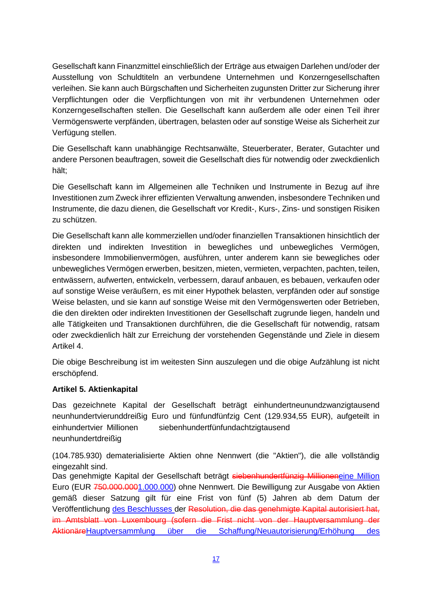Gesellschaft kann Finanzmittel einschließlich der Erträge aus etwaigen Darlehen und/oder der Ausstellung von Schuldtiteln an verbundene Unternehmen und Konzerngesellschaften verleihen. Sie kann auch Bürgschaften und Sicherheiten zugunsten Dritter zur Sicherung ihrer Verpflichtungen oder die Verpflichtungen von mit ihr verbundenen Unternehmen oder Konzerngesellschaften stellen. Die Gesellschaft kann außerdem alle oder einen Teil ihrer Vermögenswerte verpfänden, übertragen, belasten oder auf sonstige Weise als Sicherheit zur Verfügung stellen.

Die Gesellschaft kann unabhängige Rechtsanwälte, Steuerberater, Berater, Gutachter und andere Personen beauftragen, soweit die Gesellschaft dies für notwendig oder zweckdienlich hält;

Die Gesellschaft kann im Allgemeinen alle Techniken und Instrumente in Bezug auf ihre Investitionen zum Zweck ihrer effizienten Verwaltung anwenden, insbesondere Techniken und Instrumente, die dazu dienen, die Gesellschaft vor Kredit-, Kurs-, Zins- und sonstigen Risiken zu schützen.

Die Gesellschaft kann alle kommerziellen und/oder finanziellen Transaktionen hinsichtlich der direkten und indirekten Investition in bewegliches und unbewegliches Vermögen, insbesondere Immobilienvermögen, ausführen, unter anderem kann sie bewegliches oder unbewegliches Vermögen erwerben, besitzen, mieten, vermieten, verpachten, pachten, teilen, entwässern, aufwerten, entwickeln, verbessern, darauf anbauen, es bebauen, verkaufen oder auf sonstige Weise veräußern, es mit einer Hypothek belasten, verpfänden oder auf sonstige Weise belasten, und sie kann auf sonstige Weise mit den Vermögenswerten oder Betrieben, die den direkten oder indirekten Investitionen der Gesellschaft zugrunde liegen, handeln und alle Tätigkeiten und Transaktionen durchführen, die die Gesellschaft für notwendig, ratsam oder zweckdienlich hält zur Erreichung der vorstehenden Gegenstände und Ziele in diesem Artikel 4.

Die obige Beschreibung ist im weitesten Sinn auszulegen und die obige Aufzählung ist nicht erschöpfend.

### **Artikel 5. Aktienkapital**

Das gezeichnete Kapital der Gesellschaft beträgt einhundertneunundzwanzigtausend neunhundertvierunddreißig Euro und fünfundfünfzig Cent (129.934,55 EUR), aufgeteilt in einhundertvier Millionen siebenhundertfünfundachtzigtausend neunhundertdreißig

(104.785.930) dematerialisierte Aktien ohne Nennwert (die "Aktien"), die alle vollständig eingezahlt sind.

Das genehmigte Kapital der Gesellschaft beträgt siebenhundertfünzig Millioneneine Million Euro (EUR 750.000.0001.000.000) ohne Nennwert. Die Bewilligung zur Ausgabe von Aktien gemäß dieser Satzung gilt für eine Frist von fünf (5) Jahren ab dem Datum der Veröffentlichung des Beschlusses der Resolution, die das genehmigte Kapital autorisiert hat, im Amtsblatt von Luxembourg (sofern die Frist nicht von der Hauptversammlung der AktionäreHauptversammlung über die Schaffung/Neuautorisierung/Erhöhung des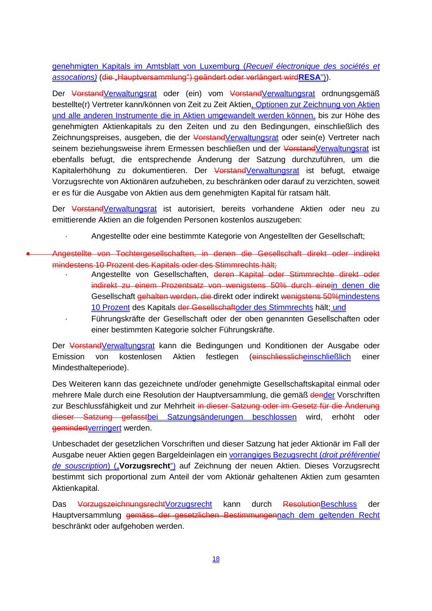genehmigten Kapitals im Amtsblatt von Luxemburg (*Recueil électronique des sociétés et assocations)* (die "Hauptversammlung") geändert oder verlängert wird**RESA**")).

Der VorstandVerwaltungsrat oder (ein) vom VorstandVerwaltungsrat ordnungsgemäß bestellte(r) Vertreter kann/können von Zeit zu Zeit Aktien, Optionen zur Zeichnung von Aktien und alle anderen Instrumente die in Aktien umgewandelt werden können, bis zur Höhe des genehmigten Aktienkapitals zu den Zeiten und zu den Bedingungen, einschließlich des Zeichnungspreises, ausgeben, die der VorstandVerwaltungsrat oder sein(e) Vertreter nach seinem beziehungsweise ihrem Ermessen beschließen und der VorstandVerwaltungsrat ist ebenfalls befugt, die entsprechende Änderung der Satzung durchzuführen, um die Kapitalerhöhung zu dokumentieren. Der VorstandVerwaltungsrat ist befugt, etwaige Vorzugsrechte von Aktionären aufzuheben, zu beschränken oder darauf zu verzichten, soweit er es für die Ausgabe von Aktien aus dem genehmigten Kapital für ratsam hält.

Der VorstandVerwaltungsrat ist autorisiert, bereits vorhandene Aktien oder neu zu emittierende Aktien an die folgenden Personen kostenlos auszugeben:

· Angestellte oder eine bestimmte Kategorie von Angestellten der Gesellschaft;

 Angestellte von Tochtergesellschaften, in denen die Gesellschaft direkt oder indirekt mindestens 10 Prozent des Kapitals oder des Stimmrechts hält;

· Angestellte von Gesellschaften, deren Kapital oder Stimmrechte direkt oder indirekt zu einem Prozentsatz von wenigstens 50% durch einein denen die Gesellschaft gehalten werden, die direkt oder indirekt wenigstens 50%mindestens 10 Prozent des Kapitals der Gesellschaftoder des Stimmrechts hält; und

· Führungskräfte der Gesellschaft oder der oben genannten Gesellschaften oder einer bestimmten Kategorie solcher Führungskräfte.

Der VorstandVerwaltungsrat kann die Bedingungen und Konditionen der Ausgabe oder Emission von kostenlosen Aktien festlegen (einschliesslicheinschließlich einer Mindesthalteperiode).

Des Weiteren kann das gezeichnete und/oder genehmigte Gesellschaftskapital einmal oder mehrere Male durch eine Resolution der Hauptversammlung, die gemäß dender Vorschriften zur Beschlussfähigkeit und zur Mehrheit in dieser Satzung oder im Gesetz für die Änderung dieser Satzung gefasstbei Satzungsänderungen beschlossen wird, erhöht oder gemindertverringert werden.

Unbeschadet der gesetzlichen Vorschriften und dieser Satzung hat jeder Aktionär im Fall der Ausgabe neuer Aktien gegen Bargeldeinlagen ein vorrangiges Bezugsrecht (*droit préférentiel de souscription*) ("**Vorzugsrecht**") auf Zeichnung der neuen Aktien. Dieses Vorzugsrecht bestimmt sich proportional zum Anteil der vom Aktionär gehaltenen Aktien zum gesamten Aktienkapital.

Das VorzugszeichnungsrechtVorzugsrecht kann durch ResolutionBeschluss der Hauptversammlung gemäss der gesetzlichen Bestimmungennach dem geltenden Recht beschränkt oder aufgehoben werden.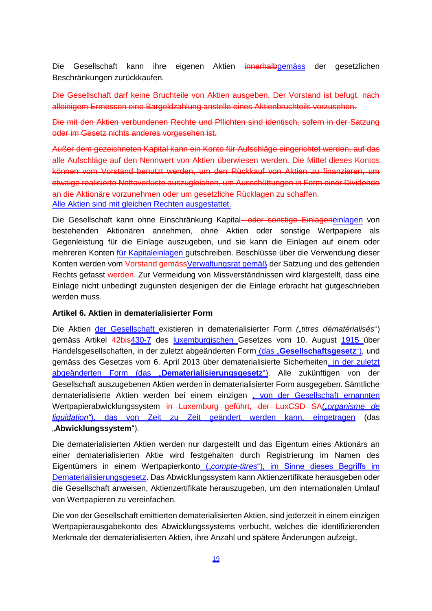Die Gesellschaft kann ihre eigenen Aktien innerhalbgemäss der gesetzlichen Beschränkungen zurückkaufen.

Die Gesellschaft darf keine Bruchteile von Aktien ausgeben. Der Vorstand ist befugt, nach alleinigem Ermessen eine Bargeldzahlung anstelle eines Aktienbruchteils vorzusehen.

Die mit den Aktien verbundenen Rechte und Pflichten sind identisch, sofern in der Satzung oder im Gesetz nichts anderes vorgesehen ist.

Außer dem gezeichneten Kapital kann ein Konto für Aufschläge eingerichtet werden, auf das alle Aufschläge auf den Nennwert von Aktien überwiesen werden. Die Mittel dieses Kontos können vom Vorstand benutzt werden, um den Rückkauf von Aktien zu finanzieren, um etwaige realisierte Nettoverluste auszugleichen, um Ausschüttungen in Form einer Dividende an die Aktionäre vorzunehmen oder um gesetzliche Rücklagen zu schaffen. Alle Aktien sind mit gleichen Rechten ausgestattet.

Die Gesellschaft kann ohne Einschränkung Kapital- oder sonstige Einlageneinlagen von bestehenden Aktionären annehmen, ohne Aktien oder sonstige Wertpapiere als Gegenleistung für die Einlage auszugeben, und sie kann die Einlagen auf einem oder mehreren Konten *für Kapitaleinlagen* gutschreiben. Beschlüsse über die Verwendung dieser Konten werden vom Vorstand gemäss Verwaltungsrat gemäß der Satzung und des geltenden Rechts gefasst-werden. Zur Vermeidung von Missverständnissen wird klargestellt, dass eine Einlage nicht unbedingt zugunsten desjenigen der die Einlage erbracht hat gutgeschrieben werden muss.

#### **Artikel 6. Aktien in dematerialisierter Form**

Die Aktien der Gesellschaft existieren in dematerialisierter Form ("titres dématérialisés") gemäss Artikel 42bis430-7 des luxemburgischen Gesetzes vom 10. August 1915 über Handelsgesellschaften, in der zuletzt abgeänderten Form (das "**Gesellschaftsgesetz**"), und gemäss des Gesetzes vom 6. April 2013 über dematerialisierte Sicherheiten, in der zuletzt abgeänderten Form (das "**Dematerialisierungsgesetz**"). Alle zukünftigen von der Gesellschaft auszugebenen Aktien werden in dematerialisierter Form ausgegeben. Sämtliche dematerialisierte Aktien werden bei einem einzigen , von der Gesellschaft ernannten Wertpapierabwicklungssystem in Luxemburg geführt, der LuxCSD SA("organisme de *liquidation"*), das von Zeit zu Zeit geändert werden kann, eingetragen (das "**Abwicklungssystem**").

Die dematerialisierten Aktien werden nur dargestellt und das Eigentum eines Aktionärs an einer dematerialisierten Aktie wird festgehalten durch Registrierung im Namen des Eigentümers in einem Wertpapierkonto ("*compte-titres*"), im Sinne dieses Begriffs im Dematerialisierungsgesetz. Das Abwicklungssystem kann Aktienzertifikate herausgeben oder die Gesellschaft anweisen, Aktienzertifikate herauszugeben, um den internationalen Umlauf von Wertpapieren zu vereinfachen.

Die von der Gesellschaft emittierten dematerialisierten Aktien, sind jederzeit in einem einzigen Wertpapierausgabekonto des Abwicklungssystems verbucht, welches die identifizierenden Merkmale der dematerialisierten Aktien, ihre Anzahl und spätere Änderungen aufzeigt.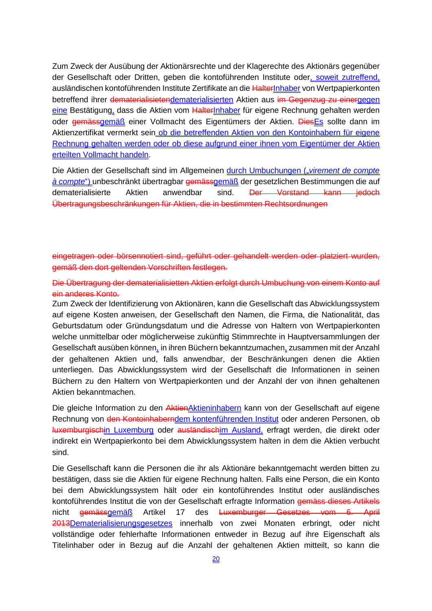Zum Zweck der Ausübung der Aktionärsrechte und der Klagerechte des Aktionärs gegenüber der Gesellschaft oder Dritten, geben die kontoführenden Institute oder, soweit zutreffend, ausländischen kontoführenden Institute Zertifikate an die HalterInhaber von Wertpapierkonten betreffend ihrer dematerialisietendematerialisierten Aktien aus im Gegenzug zu einergegen eine Bestätigung, dass die Aktien vom HalterInhaber für eigene Rechnung gehalten werden oder gemässgemäß einer Vollmacht des Eigentümers der Aktien. DiesEs sollte dann im Aktienzertifikat vermerkt sein ob die betreffenden Aktien von den Kontoinhabern für eigene Rechnung gehalten werden oder ob diese aufgrund einer ihnen vom Eigentümer der Aktien erteilten Vollmacht handeln.

Die Aktien der Gesellschaft sind im Allgemeinen durch Umbuchungen ("*virement de compte à compte*") unbeschränkt übertragbar gemässgemäß der gesetzlichen Bestimmungen die auf dematerialisierte Aktien anwendbar sind. Der Vorstand kann jedoch Übertragungsbeschränkungen für Aktien, die in bestimmten Rechtsordnungen

eingetragen oder börsennotiert sind, geführt oder gehandelt werden oder platziert wurden, gemäß den dort geltenden Vorschriften festlegen.

Die Übertragung der dematerialisietten Aktien erfolgt durch Umbuchung von einem Konto auf ein anderes Konto.

Zum Zweck der Identifizierung von Aktionären, kann die Gesellschaft das Abwicklungssystem auf eigene Kosten anweisen, der Gesellschaft den Namen, die Firma, die Nationalität, das Geburtsdatum oder Gründungsdatum und die Adresse von Haltern von Wertpapierkonten welche unmittelbar oder möglicherweise zukünftig Stimmrechte in Hauptversammlungen der Gesellschaft ausüben können, in ihren Büchern bekanntzumachen, zusammen mit der Anzahl der gehaltenen Aktien und, falls anwendbar, der Beschränkungen denen die Aktien unterliegen. Das Abwicklungssystem wird der Gesellschaft die Informationen in seinen Büchern zu den Haltern von Wertpapierkonten und der Anzahl der von ihnen gehaltenen Aktien bekanntmachen.

Die gleiche Information zu den Aktien Aktieninhabern kann von der Gesellschaft auf eigene Rechnung von den Kontoinhaberndem kontenführenden Institut oder anderen Personen, ob luxemburgischin Luxemburg oder ausländischim Ausland, erfragt werden, die direkt oder indirekt ein Wertpapierkonto bei dem Abwicklungssystem halten in dem die Aktien verbucht sind.

Die Gesellschaft kann die Personen die ihr als Aktionäre bekanntgemacht werden bitten zu bestätigen, dass sie die Aktien für eigene Rechnung halten. Falls eine Person, die ein Konto bei dem Abwicklungssystem hält oder ein kontoführendes Institut oder ausländisches kontoführendes Institut die von der Gesellschaft erfragte Information gemäss dieses Artikels nicht gemässgemäß Artikel 17 des Luxemburger Gesetzes vom 6. April 2013Dematerialisierungsgesetzes innerhalb von zwei Monaten erbringt, oder nicht vollständige oder fehlerhafte Informationen entweder in Bezug auf ihre Eigenschaft als Titelinhaber oder in Bezug auf die Anzahl der gehaltenen Aktien mitteilt, so kann die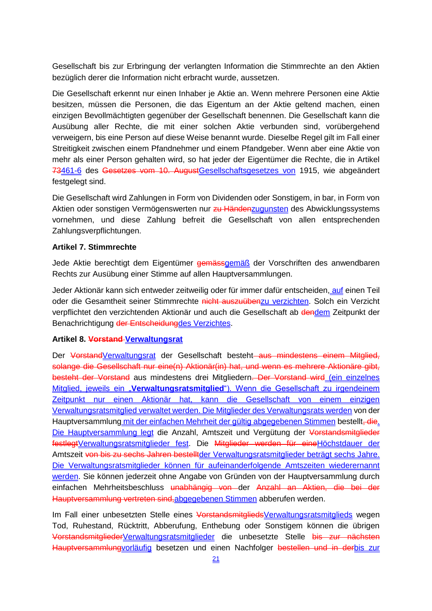Gesellschaft bis zur Erbringung der verlangten Information die Stimmrechte an den Aktien bezüglich derer die Information nicht erbracht wurde, aussetzen.

Die Gesellschaft erkennt nur einen Inhaber je Aktie an. Wenn mehrere Personen eine Aktie besitzen, müssen die Personen, die das Eigentum an der Aktie geltend machen, einen einzigen Bevollmächtigten gegenüber der Gesellschaft benennen. Die Gesellschaft kann die Ausübung aller Rechte, die mit einer solchen Aktie verbunden sind, vorübergehend verweigern, bis eine Person auf diese Weise benannt wurde. Dieselbe Regel gilt im Fall einer Streitigkeit zwischen einem Pfandnehmer und einem Pfandgeber. Wenn aber eine Aktie von mehr als einer Person gehalten wird, so hat jeder der Eigentümer die Rechte, die in Artikel 73461-6 des Gesetzes vom 10. AugustGesellschaftsgesetzes von 1915, wie abgeändert festgelegt sind.

Die Gesellschaft wird Zahlungen in Form von Dividenden oder Sonstigem, in bar, in Form von Aktien oder sonstigen Vermögenswerten nur zu Händenzugunsten des Abwicklungssystems vornehmen, und diese Zahlung befreit die Gesellschaft von allen entsprechenden Zahlungsverpflichtungen.

### **Artikel 7. Stimmrechte**

Jede Aktie berechtigt dem Eigentümer gemässgemäß der Vorschriften des anwendbaren Rechts zur Ausübung einer Stimme auf allen Hauptversammlungen.

Jeder Aktionär kann sich entweder zeitweilig oder für immer dafür entscheiden, auf einen Teil oder die Gesamtheit seiner Stimmrechte nicht auszuübenzu verzichten. Solch ein Verzicht verpflichtet den verzichtenden Aktionär und auch die Gesellschaft ab dendem Zeitpunkt der Benachrichtigung der Entscheidungdes Verzichtes.

#### **Artikel 8. Vorstand Verwaltungsrat**

Der VorstandVerwaltungsrat der Gesellschaft besteht aus mindestens einem Mitglied, solange die Gesellschaft nur eine(n) Aktionär(in) hat, und wenn es mehrere Aktionäre gibt, besteht der Vorstand aus mindestens drei Mitgliedern. Der Vorstand wird (ein einzelnes Mitglied, jeweils ein "**Verwaltungsratsmitglied**"). Wenn die Gesellschaft zu irgendeinem Zeitpunkt nur einen Aktionär hat, kann die Gesellschaft von einem einzigen Verwaltungsratsmitglied verwaltet werden. Die Mitglieder des Verwaltungsrats werden von der Hauptversammlung mit der einfachen Mehrheit der gültig abgegebenen Stimmen bestellt. die. Die Hauptversammlung legt die Anzahl, Amtszeit und Vergütung der Vorstandsmitglieder festlegtVerwaltungsratsmitglieder fest. Die Mitglieder werden für eineHöchstdauer der Amtszeit von bis zu sechs Jahren bestelltder Verwaltungsratsmitglieder beträgt sechs Jahre. Die Verwaltungsratsmitglieder können für aufeinanderfolgende Amtszeiten wiederernannt werden. Sie können jederzeit ohne Angabe von Gründen von der Hauptversammlung durch einfachen Mehrheitsbeschluss unabhängig von der Anzahl an Aktien, die bei der Hauptversammlung vertreten sind,abgegebenen Stimmen abberufen werden.

Im Fall einer unbesetzten Stelle eines VorstandsmitgliedsVerwaltungsratsmitglieds wegen Tod, Ruhestand, Rücktritt, Abberufung, Enthebung oder Sonstigem können die übrigen VorstandsmitgliederVerwaltungsratsmitglieder die unbesetzte Stelle bis zur nächsten Hauptversammlungvorläufig besetzen und einen Nachfolger bestellen und in derbis zur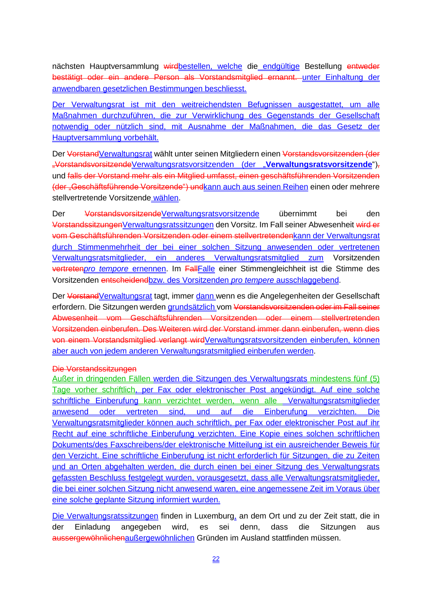nächsten Hauptversammlung wirdbestellen, welche die endgültige Bestellung entweder bestätigt oder ein andere Person als Vorstandsmitglied ernannt. unter Einhaltung der anwendbaren gesetzlichen Bestimmungen beschliesst.

Der Verwaltungsrat ist mit den weitreichendsten Befugnissen ausgestattet, um alle Maßnahmen durchzuführen, die zur Verwirklichung des Gegenstands der Gesellschaft notwendig oder nützlich sind, mit Ausnahme der Maßnahmen, die das Gesetz der Hauptversammlung vorbehält.

Der VorstandVerwaltungsrat wählt unter seinen Mitgliedern einen Vorstandsvorsitzenden (der "VorstandsvorsitzendeVerwaltungsratsvorsitzenden (der "**Verwaltungsratsvorsitzende**"), und falls der Vorstand mehr als ein Mitglied umfasst, einen geschäftsführenden Vorsitzenden (der "Geschäftsführende Vorsitzende") undkann auch aus seinen Reihen einen oder mehrere stellvertretende Vorsitzende wählen.

Der VorstandsvorsitzendeVerwaltungsratsvorsitzende übernimmt bei den VorstandssitzungenVerwaltungsratssitzungen den Vorsitz. Im Fall seiner Abwesenheit wird er vom Geschäftsführenden Vorsitzenden oder einem stellvertretendenkann der Verwaltungsrat durch Stimmenmehrheit der bei einer solchen Sitzung anwesenden oder vertretenen Verwaltungsratsmitglieder, ein anderes Verwaltungsratsmitglied zum Vorsitzenden vertreten*pro tempore* ernennen. Im FallFalle einer Stimmengleichheit ist die Stimme des Vorsitzenden entscheidendbzw. des Vorsitzenden *pro tempere* ausschlaggebend.

Der VorstandVerwaltungsrat tagt, immer dann wenn es die Angelegenheiten der Gesellschaft erfordern. Die Sitzungen werden grundsätzlich vom Vorstandsvorsitzenden oder im Fall seiner Abwesenheit vom Geschäftsführenden Vorsitzenden oder einem stellvertretenden Vorsitzenden einberufen. Des Weiteren wird der Vorstand immer dann einberufen, wenn dies von einem Vorstandsmitglied verlangt wirdVerwaltungsratsvorsitzenden einberufen, können aber auch von jedem anderen Verwaltungsratsmitglied einberufen werden.

#### Die Vorstandssitzungen

Außer in dringenden Fällen werden die Sitzungen des Verwaltungsrats mindestens fünf (5) Tage vorher schriftlich, per Fax oder elektronischer Post angekündigt. Auf eine solche schriftliche Einberufung kann verzichtet werden, wenn alle Verwaltungsratsmitglieder anwesend oder vertreten sind, und auf die Einberufung verzichten. Die Verwaltungsratsmitglieder können auch schriftlich, per Fax oder elektronischer Post auf ihr Recht auf eine schriftliche Einberufung verzichten. Eine Kopie eines solchen schriftlichen Dokuments/des Faxschreibens/der elektronische Mitteilung ist ein ausreichender Beweis für den Verzicht. Eine schriftliche Einberufung ist nicht erforderlich für Sitzungen, die zu Zeiten und an Orten abgehalten werden, die durch einen bei einer Sitzung des Verwaltungsrats gefassten Beschluss festgelegt wurden, vorausgesetzt, dass alle Verwaltungsratsmitglieder, die bei einer solchen Sitzung nicht anwesend waren, eine angemessene Zeit im Voraus über eine solche geplante Sitzung informiert wurden.

Die Verwaltungsratssitzungen finden in Luxemburg, an dem Ort und zu der Zeit statt, die in der Einladung angegeben wird, es sei denn, dass die Sitzungen aus aussergewöhnlichenaußergewöhnlichen Gründen im Ausland stattfinden müssen.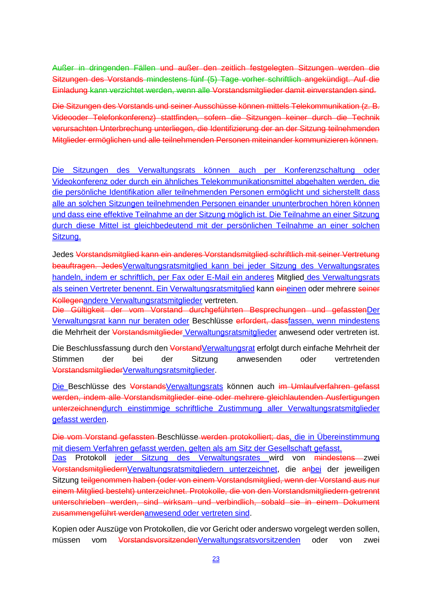Außer in dringenden Fällen und außer den zeitlich festgelegten Sitzungen werden die Sitzungen des Vorstands mindestens fünf (5) Tage vorher schriftlich angekündigt. Auf die Einladung kann verzichtet werden, wenn alle Vorstandsmitglieder damit einverstanden sind.

Die Sitzungen des Vorstands und seiner Ausschüsse können mittels Telekommunikation (z. B. Videooder Telefonkonferenz) stattfinden, sofern die Sitzungen keiner durch die Technik verursachten Unterbrechung unterliegen, die Identifizierung der an der Sitzung teilnehmenden Mitglieder ermöglichen und alle teilnehmenden Personen miteinander kommunizieren können.

Die Sitzungen des Verwaltungsrats können auch per Konferenzschaltung oder Videokonferenz oder durch ein ähnliches Telekommunikationsmittel abgehalten werden, die die persönliche Identifikation aller teilnehmenden Personen ermöglicht und sicherstellt dass alle an solchen Sitzungen teilnehmenden Personen einander ununterbrochen hören können und dass eine effektive Teilnahme an der Sitzung möglich ist. Die Teilnahme an einer Sitzung durch diese Mittel ist gleichbedeutend mit der persönlichen Teilnahme an einer solchen Sitzung.

Jedes Vorstandsmitglied kann ein anderes Vorstandsmitglied schriftlich mit seiner Vertretung beauftragen. JedesVerwaltungsratsmitglied kann bei jeder Sitzung des Verwaltungsrates handeln, indem er schriftlich, per Fax oder E-Mail ein anderes Mitglied des Verwaltungsrats als seinen Vertreter benennt. Ein Verwaltungsratsmitglied kann eineinen oder mehrere seiner Kollegenandere Verwaltungsratsmitglieder vertreten.

Die Gültigkeit der vom Vorstand durchgeführten Besprechungen und gefasstenDer Verwaltungsrat kann nur beraten oder Beschlüsse erfordert, dassfassen, wenn mindestens die Mehrheit der Vorstandsmitglieder Verwaltungsratsmitglieder anwesend oder vertreten ist.

Die Beschlussfassung durch den VorstandVerwaltungsrat erfolgt durch einfache Mehrheit der Stimmen der bei der Sitzung anwesenden oder vertretenden VorstandsmitgliederVerwaltungsratsmitglieder.

Die Beschlüsse des VorstandsVerwaltungsrats können auch im Umlaufverfahren gefasst werden, indem alle Vorstandsmitglieder eine oder mehrere gleichlautenden Ausfertigungen unterzeichnendurch einstimmige schriftliche Zustimmung aller Verwaltungsratsmitglieder gefasst werden.

Die vom Vorstand gefassten Beschlüsse werden protokolliert; das, die in Übereinstimmung mit diesem Verfahren gefasst werden, gelten als am Sitz der Gesellschaft gefasst.

Das Protokoll jeder Sitzung des Verwaltungsrates wird von mindestens zwei VorstandsmitgliedernVerwaltungsratsmitgliedern unterzeichnet, die anbei der jeweiligen Sitzung teilgenommen haben (oder von einem Vorstandsmitglied, wenn der Vorstand aus nur einem Mitglied besteht) unterzeichnet. Protokolle, die von den Vorstandsmitgliedern getrennt unterschrieben werden, sind wirksam und verbindlich, sobald sie in einem Dokument zusammengeführt werdenanwesend oder vertreten sind.

Kopien oder Auszüge von Protokollen, die vor Gericht oder anderswo vorgelegt werden sollen, müssen vom VorstandsvorsitzendenVerwaltungsratsvorsitzenden oder von zwei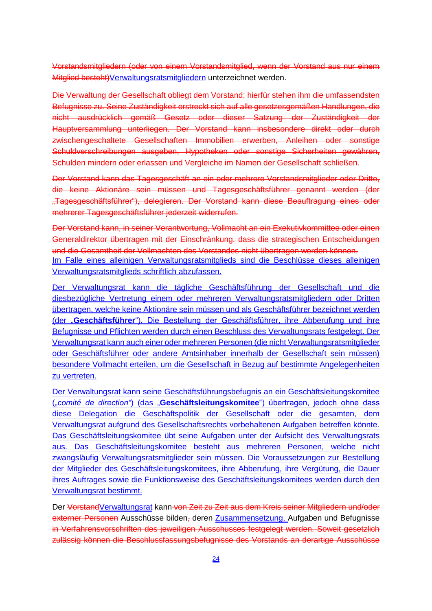Vorstandsmitgliedern (oder von einem Vorstandsmitglied, wenn der Vorstand aus nur einem Mitglied besteht) Verwaltungsratsmitgliedern unterzeichnet werden.

Die Verwaltung der Gesellschaft obliegt dem Vorstand; hierfür stehen ihm die umfassendsten Befugnisse zu. Seine Zuständigkeit erstreckt sich auf alle gesetzesgemäßen Handlungen, die nicht ausdrücklich gemäß Gesetz oder dieser Satzung der Zuständigkeit der Hauptversammlung unterliegen. Der Vorstand kann insbesondere direkt oder durch zwischengeschaltete Gesellschaften Immobilien erwerben, Anleihen oder sonstige Schuldverschreibungen ausgeben, Hypotheken oder sonstige Sicherheiten gewähren, Schulden mindern oder erlassen und Vergleiche im Namen der Gesellschaft schließen.

Der Vorstand kann das Tagesgeschäft an ein oder mehrere Vorstandsmitglieder oder Dritte, die keine Aktionäre sein müssen und Tagesgeschäftsführer genannt werden (der "Tagesgeschäftsführer"), delegieren. Der Vorstand kann diese Beauftragung eines oder mehrerer Tagesgeschäftsführer jederzeit widerrufen.

Der Vorstand kann, in seiner Verantwortung, Vollmacht an ein Exekutivkommittee oder einen Generaldirektor übertragen mit der Einschränkung, dass die strategischen Entscheidungen und die Gesamtheit der Vollmachten des Vorstandes nicht übertragen werden können. Im Falle eines alleinigen Verwaltungsratsmitglieds sind die Beschlüsse dieses alleinigen Verwaltungsratsmitglieds schriftlich abzufassen.

Der Verwaltungsrat kann die tägliche Geschäftsführung der Gesellschaft und die diesbezügliche Vertretung einem oder mehreren Verwaltungsratsmitgliedern oder Dritten übertragen, welche keine Aktionäre sein müssen und als Geschäftsführer bezeichnet werden (der "Geschäftsführer"). Die Bestellung der Geschäftsführer, ihre Abberufung und ihre Befugnisse und Pflichten werden durch einen Beschluss des Verwaltungsrats festgelegt. Der Verwaltungsrat kann auch einer oder mehreren Personen (die nicht Verwaltungsratsmitglieder oder Geschäftsführer oder andere Amtsinhaber innerhalb der Gesellschaft sein müssen) besondere Vollmacht erteilen, um die Gesellschaft in Bezug auf bestimmte Angelegenheiten zu vertreten.

Der Verwaltungsrat kann seine Geschäftsführungsbefugnis an ein Geschäftsleitungskomitee ("*comité de direction"*) (das "**Geschäftsleitungskomitee**") übertragen, jedoch ohne dass diese Delegation die Geschäftspolitik der Gesellschaft oder die gesamten, dem Verwaltungsrat aufgrund des Gesellschaftsrechts vorbehaltenen Aufgaben betreffen könnte. Das Geschäftsleitungskomitee übt seine Aufgaben unter der Aufsicht des Verwaltungsrats aus. Das Geschäftsleitungskomitee besteht aus mehreren Personen, welche nicht zwangsläufig Verwaltungsratsmitglieder sein müssen. Die Voraussetzungen zur Bestellung der Mitglieder des Geschäftsleitungskomitees, ihre Abberufung, ihre Vergütung, die Dauer ihres Auftrages sowie die Funktionsweise des Geschäftsleitungskomitees werden durch den Verwaltungsrat bestimmt.

Der VorstandVerwaltungsrat kann von Zeit zu Zeit aus dem Kreis seiner Mitgliedern und/oder externer Personen Ausschüsse bilden, deren Zusammensetzung, Aufgaben und Befugnisse in Verfahrensvorschriften des jeweiligen Ausschusses festgelegt werden. Soweit gesetzlich zulässig können die Beschlussfassungsbefugnisse des Vorstands an derartige Ausschüsse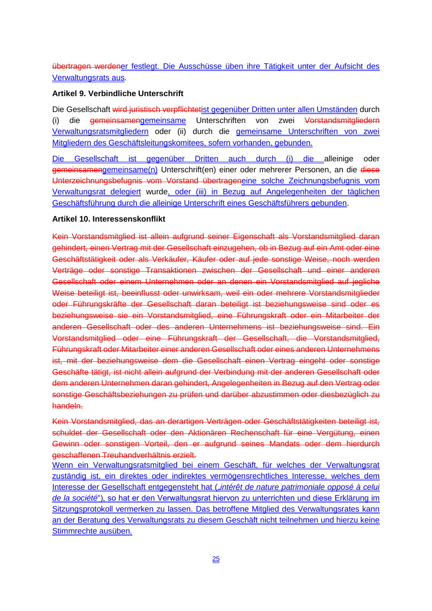übertragen werdener festlegt. Die Ausschüsse üben ihre Tätigkeit unter der Aufsicht des Verwaltungsrats aus.

### **Artikel 9. Verbindliche Unterschrift**

Die Gesellschaft wird juristisch verpflichtetist gegenüber Dritten unter allen Umständen durch (i) die gemeinsamengemeinsame Unterschriften von zwei Vorstandsmitgliedern Verwaltungsratsmitgliedern oder (ii) durch die gemeinsame Unterschriften von zwei Mitgliedern des Geschäftsleitungskomitees, sofern vorhanden, gebunden.

Die Gesellschaft ist gegenüber Dritten auch durch (i) die alleinige oder gemeinsamengemeinsame(n) Unterschrift(en) einer oder mehrerer Personen, an die diese Unterzeichnungsbefugnis vom Vorstand übertrageneine solche Zeichnungsbefugnis vom Verwaltungsrat delegiert wurde, oder (iii) in Bezug auf Angelegenheiten der täglichen Geschäftsführung durch die alleinige Unterschrift eines Geschäftsführers gebunden.

### **Artikel 10. Interessenskonflikt**

Kein Vorstandsmitglied ist allein aufgrund seiner Eigenschaft als Vorstandsmitglied daran gehindert, einen Vertrag mit der Gesellschaft einzugehen, ob in Bezug auf ein Amt oder eine Geschäftstätigkeit oder als Verkäufer, Käufer oder auf jede sonstige Weise, noch werden Verträge oder sonstige Transaktionen zwischen der Gesellschaft und einer anderen Gesellschaft oder einem Unternehmen oder an denen ein Vorstandsmitglied auf jegliche Weise beteiligt ist, beeinflusst oder unwirksam, weil ein oder mehrere Vorstandsmitglieder oder Führungskräfte der Gesellschaft daran beteiligt ist beziehungsweise sind oder es beziehungsweise sie ein Vorstandsmitglied, eine Führungskraft oder ein Mitarbeiter der anderen Gesellschaft oder des anderen Unternehmens ist beziehungsweise sind. Ein Vorstandsmitglied oder eine Führungskraft der Gesellschaft, die Vorstandsmitglied, Führungskraft oder Mitarbeiter einer anderen Gesellschaft oder eines anderen Unternehmens ist, mit der beziehungsweise dem die Gesellschaft einen Vertrag eingeht oder sonstige Geschäfte tätigt, ist nicht allein aufgrund der Verbindung mit der anderen Gesellschaft oder dem anderen Unternehmen daran gehindert, Angelegenheiten in Bezug auf den Vertrag oder sonstige Geschäftsbeziehungen zu prüfen und darüber abzustimmen oder diesbezüglich zu handeln.

Kein Vorstandsmitglied, das an derartigen Verträgen oder Geschäftstätigkeiten beteiligt ist, schuldet der Gesellschaft oder den Aktionären Rechenschaft für eine Vergütung, einen Gewinn oder sonstigen Vorteil, den er aufgrund seines Mandats oder dem hierdurch geschaffenen Treuhandverhältnis erzielt.

Wenn ein Verwaltungsratsmitglied bei einem Geschäft, für welches der Verwaltungsrat zuständig ist, ein direktes oder indirektes vermögensrechtliches Interesse, welches dem Interesse der Gesellschaft entgegensteht hat ("intérêt de nature patrimoniale opposé à celui *de la société*"), so hat er den Verwaltungsrat hiervon zu unterrichten und diese Erklärung im Sitzungsprotokoll vermerken zu lassen. Das betroffene Mitglied des Verwaltungsrates kann an der Beratung des Verwaltungsrats zu diesem Geschäft nicht teilnehmen und hierzu keine Stimmrechte ausüben.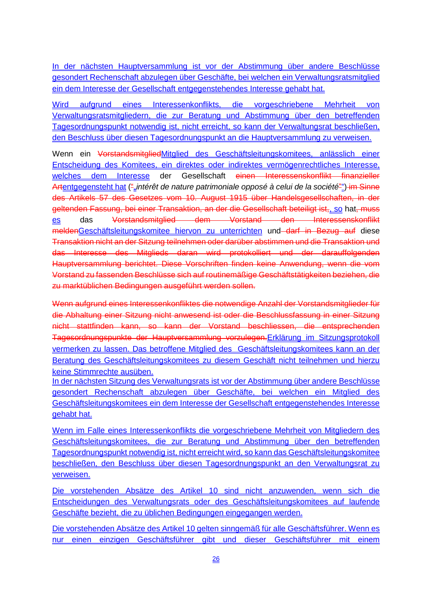In der nächsten Hauptversammlung ist vor der Abstimmung über andere Beschlüsse gesondert Rechenschaft abzulegen über Geschäfte, bei welchen ein Verwaltungsratsmitglied ein dem Interesse der Gesellschaft entgegenstehendes Interesse gehabt hat.

Wird aufgrund eines Interessenkonflikts, die vorgeschriebene Mehrheit von Verwaltungsratsmitgliedern, die zur Beratung und Abstimmung über den betreffenden Tagesordnungspunkt notwendig ist, nicht erreicht, so kann der Verwaltungsrat beschließen, den Beschluss über diesen Tagesordnungspunkt an die Hauptversammlung zu verweisen.

Wenn ein VorstandsmitgliedMitglied des Geschäftsleitungskomitees, anlässlich einer Entscheidung des Komitees, ein direktes oder indirektes vermögenrechtliches Interesse, welches dem Interesse der Gesellschaft einen Interessenskonflikt finanzieller Artentgegensteht hat ("*untérêt de nature patrimoniale opposé à celui de la société*") im Sinne des Artikels 57 des Gesetzes vom 10. August 1915 über Handelsgesellschaften, in der geltenden Fassung, bei einer Transaktion, an der die Gesellschaft beteiligt ist, so hat, muss es das Vorstandsmitglied dem Vorstand den Interessenskonflikt meldenGeschäftsleitungskomitee hiervon zu unterrichten und darf in Bezug auf diese Transaktion nicht an der Sitzung teilnehmen oder darüber abstimmen und die Transaktion und das Interesse des Mitglieds daran wird protokolliert und der darauffolgenden Hauptversammlung berichtet. Diese Vorschriften finden keine Anwendung, wenn die vom Vorstand zu fassenden Beschlüsse sich auf routinemäßige Geschäftstätigkeiten beziehen, die zu marktüblichen Bedingungen ausgeführt werden sollen.

Wenn aufgrund eines Interessenkonfliktes die notwendige Anzahl der Vorstandsmitglieder für die Abhaltung einer Sitzung nicht anwesend ist oder die Beschlussfassung in einer Sitzung nicht stattfinden kann, so kann der Vorstand beschliessen, die entsprechenden Tagesordnungspunkte der Hauptversammlung vorzulegen.Erklärung im Sitzungsprotokoll vermerken zu lassen. Das betroffene Mitglied des Geschäftsleitungskomitees kann an der Beratung des Geschäftsleitungskomitees zu diesem Geschäft nicht teilnehmen und hierzu keine Stimmrechte ausüben.

In der nächsten Sitzung des Verwaltungsrats ist vor der Abstimmung über andere Beschlüsse gesondert Rechenschaft abzulegen über Geschäfte, bei welchen ein Mitglied des Geschäftsleitungskomitees ein dem Interesse der Gesellschaft entgegenstehendes Interesse gehabt hat.

Wenn im Falle eines Interessenkonflikts die vorgeschriebene Mehrheit von Mitgliedern des Geschäftsleitungskomitees, die zur Beratung und Abstimmung über den betreffenden Tagesordnungspunkt notwendig ist, nicht erreicht wird, so kann das Geschäftsleitungskomitee beschließen, den Beschluss über diesen Tagesordnungspunkt an den Verwaltungsrat zu verweisen.

Die vorstehenden Absätze des Artikel 10 sind nicht anzuwenden, wenn sich die Entscheidungen des Verwaltungsrats oder des Geschäftsleitungskomitees auf laufende Geschäfte bezieht, die zu üblichen Bedingungen eingegangen werden.

Die vorstehenden Absätze des Artikel 10 gelten sinngemäß für alle Geschäftsführer. Wenn es nur einen einzigen Geschäftsführer gibt und dieser Geschäftsführer mit einem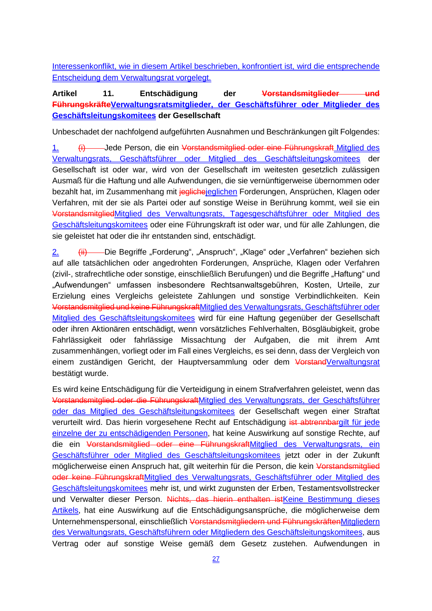Interessenkonflikt, wie in diesem Artikel beschrieben, konfrontiert ist, wird die entsprechende Entscheidung dem Verwaltungsrat vorgelegt.

# **Artikel 11. Entschädigung der Vorstandsmitglieder und FührungskräfteVerwaltungsratsmitglieder, der Geschäftsführer oder Mitglieder des Geschäftsleitungskomitees der Gesellschaft**

Unbeschadet der nachfolgend aufgeführten Ausnahmen und Beschränkungen gilt Folgendes:

1. (i) Jede Person, die ein Vorstandsmitglied oder eine Führungskraft Mitglied des Verwaltungsrats, Geschäftsführer oder Mitglied des Geschäftsleitungskomitees der Gesellschaft ist oder war, wird von der Gesellschaft im weitesten gesetzlich zulässigen Ausmaß für die Haftung und alle Aufwendungen, die sie vernünftigerweise übernommen oder bezahlt hat, im Zusammenhang mit jegliche jeglichen Forderungen, Ansprüchen, Klagen oder Verfahren, mit der sie als Partei oder auf sonstige Weise in Berührung kommt, weil sie ein VorstandsmitgliedMitglied des Verwaltungsrats, Tagesgeschäftsführer oder Mitglied des Geschäftsleitungskomitees oder eine Führungskraft ist oder war, und für alle Zahlungen, die sie geleistet hat oder die ihr entstanden sind, entschädigt.

2. (ii) Die Begriffe "Forderung", "Anspruch", "Klage" oder "Verfahren" beziehen sich auf alle tatsächlichen oder angedrohten Forderungen, Ansprüche, Klagen oder Verfahren (zivil-, strafrechtliche oder sonstige, einschließlich Berufungen) und die Begriffe "Haftung" und "Aufwendungen" umfassen insbesondere Rechtsanwaltsgebühren, Kosten, Urteile, zur Erzielung eines Vergleichs geleistete Zahlungen und sonstige Verbindlichkeiten. Kein Vorstandsmitglied und keine FührungskraftMitglied des Verwaltungsrats, Geschäftsführer oder Mitglied des Geschäftsleitungskomitees wird für eine Haftung gegenüber der Gesellschaft oder ihren Aktionären entschädigt, wenn vorsätzliches Fehlverhalten, Bösgläubigkeit, grobe Fahrlässigkeit oder fahrlässige Missachtung der Aufgaben, die mit ihrem Amt zusammenhängen, vorliegt oder im Fall eines Vergleichs, es sei denn, dass der Vergleich von einem zuständigen Gericht, der Hauptversammlung oder dem VorstandVerwaltungsrat bestätigt wurde.

Es wird keine Entschädigung für die Verteidigung in einem Strafverfahren geleistet, wenn das Vorstandsmitglied oder die FührungskraftMitglied des Verwaltungsrats, der Geschäftsführer oder das Mitglied des Geschäftsleitungskomitees der Gesellschaft wegen einer Straftat verurteilt wird. Das hierin vorgesehene Recht auf Entschädigung ist abtrennbargilt für jede einzelne der zu entschädigenden Personen, hat keine Auswirkung auf sonstige Rechte, auf die ein Vorstandsmitglied oder eine FührungskraftMitglied des Verwaltungsrats, ein Geschäftsführer oder Mitglied des Geschäftsleitungskomitees jetzt oder in der Zukunft möglicherweise einen Anspruch hat, gilt weiterhin für die Person, die kein Vorstandsmitglied oder keine FührungskraftMitglied des Verwaltungsrats, Geschäftsführer oder Mitglied des Geschäftsleitungskomitees mehr ist, und wirkt zugunsten der Erben, Testamentsvollstrecker und Verwalter dieser Person. Nichts, das hierin enthalten istKeine Bestimmung dieses Artikels, hat eine Auswirkung auf die Entschädigungsansprüche, die möglicherweise dem Unternehmenspersonal, einschließlich Vorstandsmitgliedern und FührungskräftenMitgliedern des Verwaltungsrats, Geschäftsführern oder Mitgliedern des Geschäftsleitungskomitees, aus Vertrag oder auf sonstige Weise gemäß dem Gesetz zustehen. Aufwendungen in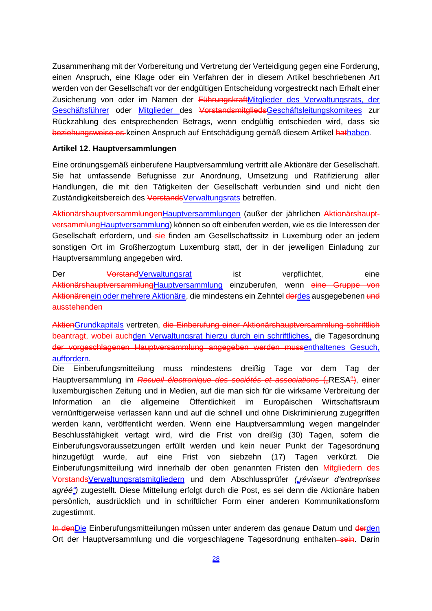Zusammenhang mit der Vorbereitung und Vertretung der Verteidigung gegen eine Forderung, einen Anspruch, eine Klage oder ein Verfahren der in diesem Artikel beschriebenen Art werden von der Gesellschaft vor der endgültigen Entscheidung vorgestreckt nach Erhalt einer Zusicherung von oder im Namen der FührungskraftMitglieder des Verwaltungsrats, der Geschäftsführer oder Mitglieder des VorstandsmitgliedsGeschäftsleitungskomitees zur Rückzahlung des entsprechenden Betrags, wenn endgültig entschieden wird, dass sie beziehungsweise es keinen Anspruch auf Entschädigung gemäß diesem Artikel hathaben.

#### **Artikel 12. Hauptversammlungen**

Eine ordnungsgemäß einberufene Hauptversammlung vertritt alle Aktionäre der Gesellschaft. Sie hat umfassende Befugnisse zur Anordnung, Umsetzung und Ratifizierung aller Handlungen, die mit den Tätigkeiten der Gesellschaft verbunden sind und nicht den Zuständigkeitsbereich des VorstandsVerwaltungsrats betreffen.

AktionärshauptversammlungenHauptversammlungen (außer der jährlichen AktionärshauptversammlungHauptversammlung) können so oft einberufen werden, wie es die Interessen der Gesellschaft erfordern, und sie finden am Gesellschaftssitz in Luxemburg oder an jedem sonstigen Ort im Großherzogtum Luxemburg statt, der in der jeweiligen Einladung zur Hauptversammlung angegeben wird.

Der VorstandVerwaltungsrat ist verpflichtet, eine AktionärshauptversammlungHauptversammlung einzuberufen, wenn eine Gruppe von Aktionärenein oder mehrere Aktionäre, die mindestens ein Zehntel derdes ausgegebenen und ausstehenden

AktienGrundkapitals vertreten, die Einberufung einer Aktionärshauptversammlung schriftlich beantragt, wobei auchden Verwaltungsrat hierzu durch ein schriftliches, die Tagesordnung der vorgeschlagenen Hauptversammlung angegeben werden mussenthaltenes Gesuch, auffordern.

Die Einberufungsmitteilung muss mindestens dreißig Tage vor dem Tag der Hauptversammlung im *Recueil électronique des sociétés et associations* ("RESA"), einer luxemburgischen Zeitung und in Medien, auf die man sich für die wirksame Verbreitung der Information an die allgemeine Öffentlichkeit im Europäischen Wirtschaftsraum vernünftigerweise verlassen kann und auf die schnell und ohne Diskriminierung zugegriffen werden kann, veröffentlicht werden. Wenn eine Hauptversammlung wegen mangelnder Beschlussfähigkeit vertagt wird, wird die Frist von dreißig (30) Tagen, sofern die Einberufungsvoraussetzungen erfüllt werden und kein neuer Punkt der Tagesordnung hinzugefügt wurde, auf eine Frist von siebzehn (17) Tagen verkürzt. Die Einberufungsmitteilung wird innerhalb der oben genannten Fristen den Mitgliedern des VorstandsVerwaltungsratsmitgliedern und dem Abschlussprüfer *("réviseur d'entreprises agréé")* zugestellt. Diese Mitteilung erfolgt durch die Post, es sei denn die Aktionäre haben persönlich, ausdrücklich und in schriftlicher Form einer anderen Kommunikationsform zugestimmt.

In den Die Einberufungsmitteilungen müssen unter anderem das genaue Datum und derden Ort der Hauptversammlung und die vorgeschlagene Tagesordnung enthalten sein. Darin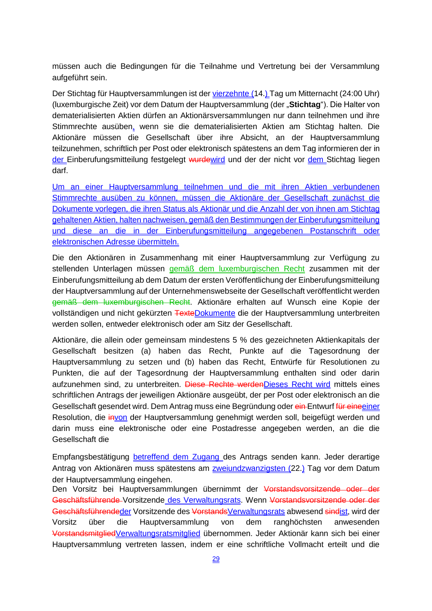müssen auch die Bedingungen für die Teilnahme und Vertretung bei der Versammlung aufgeführt sein.

Der Stichtag für Hauptversammlungen ist der vierzehnte (14.) Tag um Mitternacht (24:00 Uhr) (luxemburgische Zeit) vor dem Datum der Hauptversammlung (der "**Stichtag**"). Die Halter von dematerialisierten Aktien dürfen an Aktionärsversammlungen nur dann teilnehmen und ihre Stimmrechte ausüben, wenn sie die dematerialisierten Aktien am Stichtag halten. Die Aktionäre müssen die Gesellschaft über ihre Absicht, an der Hauptversammlung teilzunehmen, schriftlich per Post oder elektronisch spätestens an dem Tag informieren der in der Einberufungsmitteilung festgelegt wurdewird und der der nicht vor dem Stichtag liegen darf.

Um an einer Hauptversammlung teilnehmen und die mit ihren Aktien verbundenen Stimmrechte ausüben zu können, müssen die Aktionäre der Gesellschaft zunächst die Dokumente vorlegen, die ihren Status als Aktionär und die Anzahl der von ihnen am Stichtag gehaltenen Aktien, halten nachweisen, gemäß den Bestimmungen der Einberufungsmitteilung und diese an die in der Einberufungsmitteilung angegebenen Postanschrift oder elektronischen Adresse übermitteln.

Die den Aktionären in Zusammenhang mit einer Hauptversammlung zur Verfügung zu stellenden Unterlagen müssen gemäß dem luxemburgischen Recht zusammen mit der Einberufungsmitteilung ab dem Datum der ersten Veröffentlichung der Einberufungsmitteilung der Hauptversammlung auf der Unternehmenswebseite der Gesellschaft veröffentlicht werden gemäß dem luxemburgischen Recht. Aktionäre erhalten auf Wunsch eine Kopie der vollständigen und nicht gekürzten TexteDokumente die der Hauptversammlung unterbreiten werden sollen, entweder elektronisch oder am Sitz der Gesellschaft.

Aktionäre, die allein oder gemeinsam mindestens 5 % des gezeichneten Aktienkapitals der Gesellschaft besitzen (a) haben das Recht, Punkte auf die Tagesordnung der Hauptversammlung zu setzen und (b) haben das Recht, Entwürfe für Resolutionen zu Punkten, die auf der Tagesordnung der Hauptversammlung enthalten sind oder darin aufzunehmen sind, zu unterbreiten. Diese Rechte werden Dieses Recht wird mittels eines schriftlichen Antrags der jeweiligen Aktionäre ausgeübt, der per Post oder elektronisch an die Gesellschaft gesendet wird. Dem Antrag muss eine Begründung oder ein Entwurf für eine einer Resolution, die invon der Hauptversammlung genehmigt werden soll, beigefügt werden und darin muss eine elektronische oder eine Postadresse angegeben werden, an die die Gesellschaft die

Empfangsbestätigung betreffend dem Zugang des Antrags senden kann. Jeder derartige Antrag von Aktionären muss spätestens am **zweiundzwanzigsten (22.)** Tag vor dem Datum der Hauptversammlung eingehen.

Den Vorsitz bei Hauptversammlungen übernimmt der Vorstandsvorsitzende oder der Geschäftsführende Vorsitzende des Verwaltungsrats. Wenn Vorstandsvorsitzende oder der Geschäftsführendeder Vorsitzende des VorstandsVerwaltungsrats abwesend sindist, wird der Vorsitz über die Hauptversammlung von dem ranghöchsten anwesenden VorstandsmitgliedVerwaltungsratsmitglied übernommen. Jeder Aktionär kann sich bei einer Hauptversammlung vertreten lassen, indem er eine schriftliche Vollmacht erteilt und die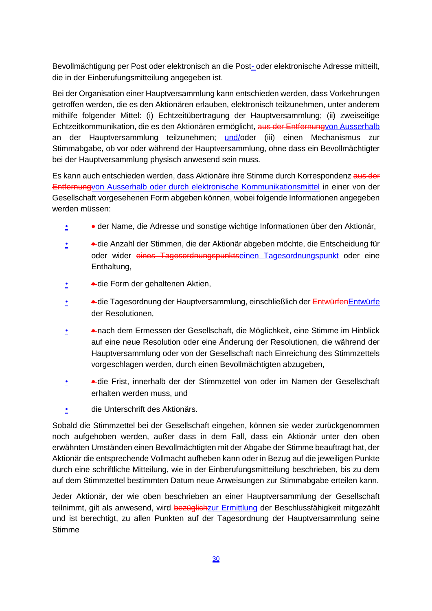Bevollmächtigung per Post oder elektronisch an die Post- oder elektronische Adresse mitteilt, die in der Einberufungsmitteilung angegeben ist.

Bei der Organisation einer Hauptversammlung kann entschieden werden, dass Vorkehrungen getroffen werden, die es den Aktionären erlauben, elektronisch teilzunehmen, unter anderem mithilfe folgender Mittel: (i) Echtzeitübertragung der Hauptversammlung; (ii) zweiseitige Echtzeitkommunikation, die es den Aktionären ermöglicht, aus der Entfernungvon Ausserhalb an der Hauptversammlung teilzunehmen; und/oder (iii) einen Mechanismus zur Stimmabgabe, ob vor oder während der Hauptversammlung, ohne dass ein Bevollmächtigter bei der Hauptversammlung physisch anwesend sein muss.

Es kann auch entschieden werden, dass Aktionäre ihre Stimme durch Korrespondenz aus der Entfernungvon Ausserhalb oder durch elektronische Kommunikationsmittel in einer von der Gesellschaft vorgesehenen Form abgeben können, wobei folgende Informationen angegeben werden müssen:

- der Name, die Adresse und sonstige wichtige Informationen über den Aktionär,
- • die Anzahl der Stimmen, die der Aktionär abgeben möchte, die Entscheidung für oder wider eines Tagesordnungspunktseinen Tagesordnungspunkt oder eine Enthaltung,
- • die Form der gehaltenen Aktien,
- • die Tagesordnung der Hauptversammlung, einschließlich der EntwürfenEntwürfe der Resolutionen,
- • **•** nach dem Ermessen der Gesellschaft, die Möglichkeit, eine Stimme im Hinblick auf eine neue Resolution oder eine Änderung der Resolutionen, die während der Hauptversammlung oder von der Gesellschaft nach Einreichung des Stimmzettels vorgeschlagen werden, durch einen Bevollmächtigten abzugeben,
- • **•** die Frist, innerhalb der der Stimmzettel von oder im Namen der Gesellschaft erhalten werden muss, und
- die Unterschrift des Aktionärs.

Sobald die Stimmzettel bei der Gesellschaft eingehen, können sie weder zurückgenommen noch aufgehoben werden, außer dass in dem Fall, dass ein Aktionär unter den oben erwähnten Umständen einen Bevollmächtigten mit der Abgabe der Stimme beauftragt hat, der Aktionär die entsprechende Vollmacht aufheben kann oder in Bezug auf die jeweiligen Punkte durch eine schriftliche Mitteilung, wie in der Einberufungsmitteilung beschrieben, bis zu dem auf dem Stimmzettel bestimmten Datum neue Anweisungen zur Stimmabgabe erteilen kann.

Jeder Aktionär, der wie oben beschrieben an einer Hauptversammlung der Gesellschaft teilnimmt, gilt als anwesend, wird bezüglichzur Ermittlung der Beschlussfähigkeit mitgezählt und ist berechtigt, zu allen Punkten auf der Tagesordnung der Hauptversammlung seine Stimme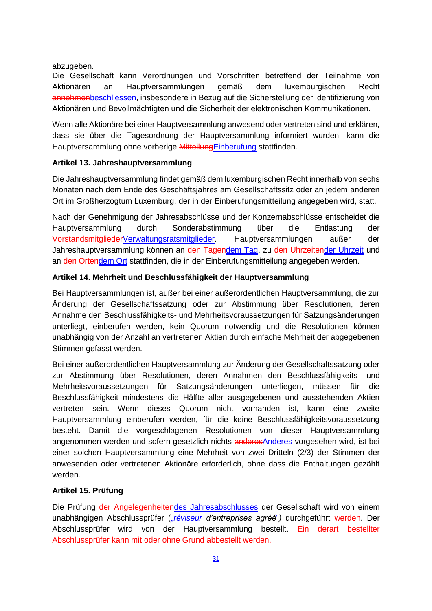abzugeben.

Die Gesellschaft kann Verordnungen und Vorschriften betreffend der Teilnahme von Aktionären an Hauptversammlungen gemäß dem luxemburgischen Recht annehmenbeschliessen, insbesondere in Bezug auf die Sicherstellung der Identifizierung von Aktionären und Bevollmächtigten und die Sicherheit der elektronischen Kommunikationen.

Wenn alle Aktionäre bei einer Hauptversammlung anwesend oder vertreten sind und erklären, dass sie über die Tagesordnung der Hauptversammlung informiert wurden, kann die Hauptversammlung ohne vorherige MitteilungEinberufung stattfinden.

## **Artikel 13. Jahreshauptversammlung**

Die Jahreshauptversammlung findet gemäß dem luxemburgischen Recht innerhalb von sechs Monaten nach dem Ende des Geschäftsjahres am Gesellschaftssitz oder an jedem anderen Ort im Großherzogtum Luxemburg, der in der Einberufungsmitteilung angegeben wird, statt.

Nach der Genehmigung der Jahresabschlüsse und der Konzernabschlüsse entscheidet die Hauptversammlung durch Sonderabstimmung über die Entlastung der VorstandsmitgliederVerwaltungsratsmitglieder. Hauptversammlungen außer der Jahreshauptversammlung können an den Tagendem Tag, zu den Uhrzeitender Uhrzeit und an den Ortendem Ort stattfinden, die in der Einberufungsmitteilung angegeben werden.

## **Artikel 14. Mehrheit und Beschlussfähigkeit der Hauptversammlung**

Bei Hauptversammlungen ist, außer bei einer außerordentlichen Hauptversammlung, die zur Änderung der Gesellschaftssatzung oder zur Abstimmung über Resolutionen, deren Annahme den Beschlussfähigkeits- und Mehrheitsvoraussetzungen für Satzungsänderungen unterliegt, einberufen werden, kein Quorum notwendig und die Resolutionen können unabhängig von der Anzahl an vertretenen Aktien durch einfache Mehrheit der abgegebenen Stimmen gefasst werden.

Bei einer außerordentlichen Hauptversammlung zur Änderung der Gesellschaftssatzung oder zur Abstimmung über Resolutionen, deren Annahmen den Beschlussfähigkeits- und Mehrheitsvoraussetzungen für Satzungsänderungen unterliegen, müssen für die Beschlussfähigkeit mindestens die Hälfte aller ausgegebenen und ausstehenden Aktien vertreten sein. Wenn dieses Quorum nicht vorhanden ist, kann eine zweite Hauptversammlung einberufen werden, für die keine Beschlussfähigkeitsvoraussetzung besteht. Damit die vorgeschlagenen Resolutionen von dieser Hauptversammlung angenommen werden und sofern gesetzlich nichts anderesAnderes vorgesehen wird, ist bei einer solchen Hauptversammlung eine Mehrheit von zwei Dritteln (2/3) der Stimmen der anwesenden oder vertretenen Aktionäre erforderlich, ohne dass die Enthaltungen gezählt werden.

# **Artikel 15. Prüfung**

Die Prüfung der Angelegenheitendes Jahresabschlusses der Gesellschaft wird von einem unabhängigen Abschlussprüfer (*"réviseur d'entreprises agréé*") durchgeführt-werden. Der Abschlussprüfer wird von der Hauptversammlung bestellt. Ein derart bestellter Abschlussprüfer kann mit oder ohne Grund abbestellt werden.